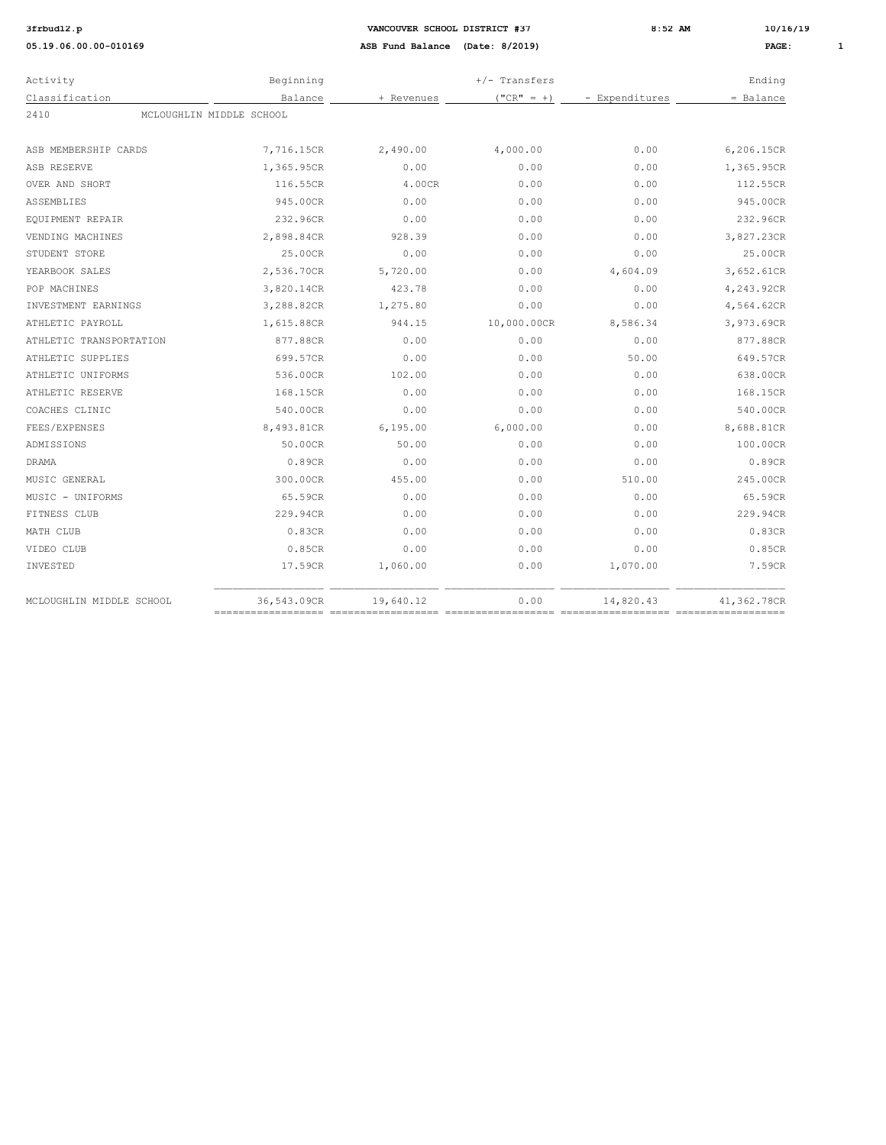| Activity                         | Beginning   |            | $+/-$ Transfers |                | Ending      |
|----------------------------------|-------------|------------|-----------------|----------------|-------------|
| Classification                   | Balance     | + Revenues | $("CR" = +)$    | - Expenditures | $=$ Balance |
| MCLOUGHLIN MIDDLE SCHOOL<br>2410 |             |            |                 |                |             |
|                                  |             |            |                 |                |             |
| ASB MEMBERSHIP CARDS             | 7,716.15CR  | 2,490.00   | 4,000.00        | 0.00           | 6,206.15CR  |
| ASB RESERVE                      | 1,365.95CR  | 0.00       | 0.00            | 0.00           | 1,365.95CR  |
| OVER AND SHORT                   | 116.55CR    | 4.00CR     | 0.00            | 0.00           | 112.55CR    |
| ASSEMBLIES                       | 945.00CR    | 0.00       | 0.00            | 0.00           | 945.00CR    |
| EQUIPMENT REPAIR                 | 232.96CR    | 0.00       | 0.00            | 0.00           | 232.96CR    |
| VENDING MACHINES                 | 2,898.84CR  | 928.39     | 0.00            | 0.00           | 3,827.23CR  |
| STUDENT STORE                    | 25.00CR     | 0.00       | 0.00            | 0.00           | 25.00CR     |
| YEARBOOK SALES                   | 2,536.70CR  | 5,720.00   | 0.00            | 4,604.09       | 3,652.61CR  |
| POP MACHINES                     | 3,820.14CR  | 423.78     | 0.00            | 0.00           | 4,243.92CR  |
| INVESTMENT EARNINGS              | 3,288.82CR  | 1,275.80   | 0.00            | 0.00           | 4,564.62CR  |
| ATHLETIC PAYROLL                 | 1,615.88CR  | 944.15     | 10,000.00CR     | 8,586.34       | 3,973.69CR  |
| ATHLETIC TRANSPORTATION          | 877.88CR    | 0.00       | 0.00            | 0.00           | 877.88CR    |
| ATHLETIC SUPPLIES                | 699.57CR    | 0.00       | 0.00            | 50.00          | 649.57CR    |
| ATHLETIC UNIFORMS                | 536.00CR    | 102.00     | 0.00            | 0.00           | 638.00CR    |
| ATHLETIC RESERVE                 | 168.15CR    | 0.00       | 0.00            | 0.00           | 168.15CR    |
| COACHES CLINIC                   | 540.00CR    | 0.00       | 0.00            | 0.00           | 540.00CR    |
| FEES/EXPENSES                    | 8,493.81CR  | 6,195.00   | 6,000.00        | 0.00           | 8,688.81CR  |
| ADMISSIONS                       | 50.00CR     | 50.00      | 0.00            | 0.00           | 100.00CR    |
| <b>DRAMA</b>                     | 0.89CR      | 0.00       | 0.00            | 0.00           | 0.89CR      |
| MUSIC GENERAL                    | 300.00CR    | 455.00     | 0.00            | 510.00         | 245.00CR    |
| MUSIC - UNIFORMS                 | 65.59CR     | 0.00       | 0.00            | 0.00           | 65.59CR     |
| FITNESS CLUB                     | 229.94CR    | 0.00       | 0.00            | 0.00           | 229.94CR    |
| MATH CLUB                        | 0.83CR      | 0.00       | 0.00            | 0.00           | 0.83CR      |
| VIDEO CLUB                       | 0.85CR      | 0.00       | 0.00            | 0.00           | 0.85CR      |
| INVESTED                         | 17.59CR     | 1,060.00   | 0.00            | 1,070.00       | 7.59CR      |
| MCLOUGHLIN MIDDLE SCHOOL         | 36,543.09CR | 19,640.12  | 0.00            | 14,820.43      | 41,362.78CR |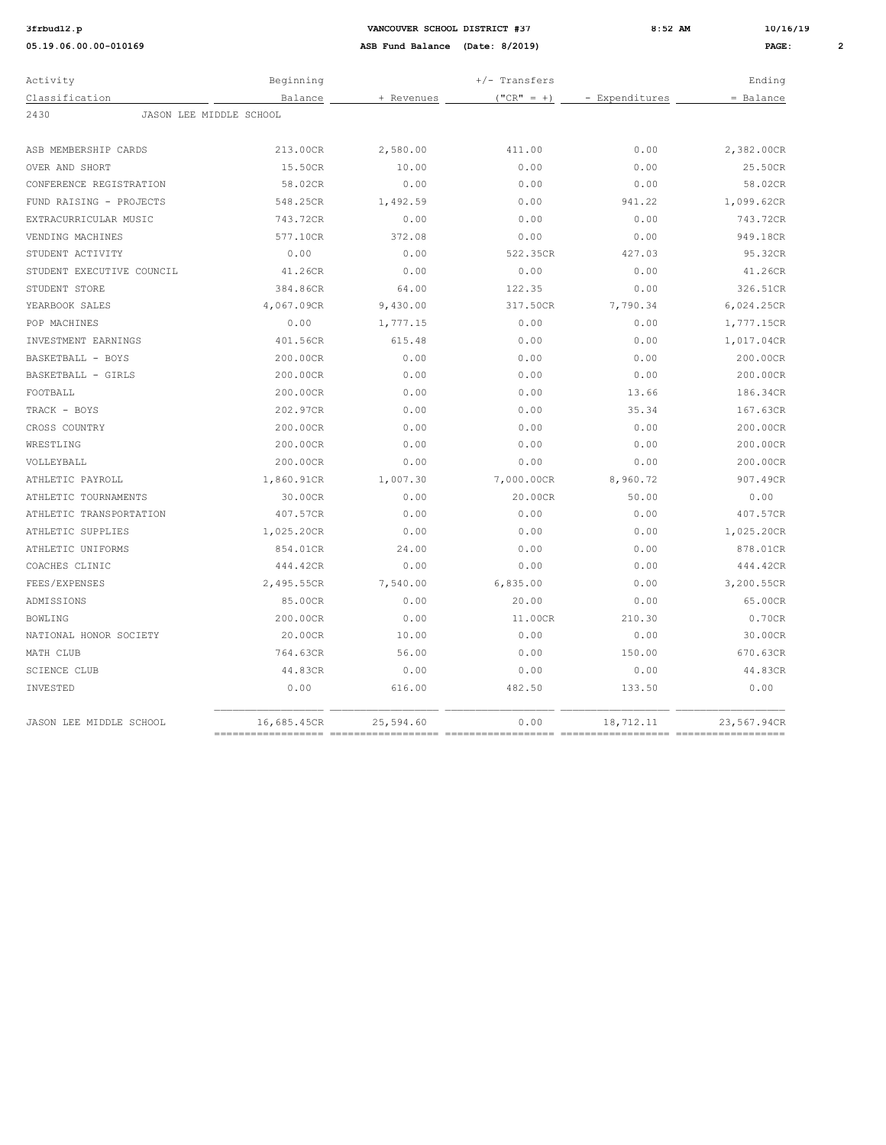**3frach 3frbud2.pp 3frbud12.pp 8:52 AM 10/16/19 8:52 AM 10/16/19 8:52 AM 10/16/19 8:52 AM PAGE:** 

| Activity                        | Beginning                  |            | $+/-$ Transfers             |                | Ending                        |
|---------------------------------|----------------------------|------------|-----------------------------|----------------|-------------------------------|
| Classification                  | Balance                    | + Revenues | $("CR" = +)$                | - Expenditures | = Balance                     |
| 2430<br>JASON LEE MIDDLE SCHOOL |                            |            |                             |                |                               |
|                                 |                            |            |                             |                |                               |
| ASB MEMBERSHIP CARDS            | 213.00CR                   | 2,580.00   | 411.00                      | 0.00           | 2,382.00CR                    |
| OVER AND SHORT                  | 15.50CR                    | 10.00      | 0.00                        | 0.00           | 25.50CR                       |
| CONFERENCE REGISTRATION         | 58.02CR                    | 0.00       | 0.00                        | 0.00           | 58.02CR                       |
| FUND RAISING - PROJECTS         | 548.25CR                   | 1,492.59   | 0.00                        | 941.22         | 1,099.62CR                    |
| EXTRACURRICULAR MUSIC           | 743.72CR                   | 0.00       | 0.00                        | 0.00           | 743.72CR                      |
| VENDING MACHINES                | 577.10CR                   | 372.08     | 0.00                        | 0.00           | 949.18CR                      |
| STUDENT ACTIVITY                | 0.00                       | 0.00       | 522.35CR                    | 427.03         | 95.32CR                       |
| STUDENT EXECUTIVE COUNCIL       | 41.26CR                    | 0.00       | 0.00                        | 0.00           | 41.26CR                       |
| STUDENT STORE                   | 384.86CR                   | 64.00      | 122.35                      | 0.00           | 326.51CR                      |
| YEARBOOK SALES                  | 4,067.09CR                 | 9,430.00   | 317.50CR                    | 7,790.34       | 6,024.25CR                    |
| POP MACHINES                    | 0.00                       | 1,777.15   | 0.00                        | 0.00           | 1,777.15CR                    |
| INVESTMENT EARNINGS             | 401.56CR                   | 615.48     | 0.00                        | 0.00           | 1,017.04CR                    |
| BASKETBALL - BOYS               | 200.00CR                   | 0.00       | 0.00                        | 0.00           | 200.00CR                      |
| BASKETBALL - GIRLS              | 200.00CR                   | 0.00       | 0.00                        | 0.00           | 200.00CR                      |
| FOOTBALL                        | 200.00CR                   | 0.00       | 0.00                        | 13.66          | 186.34CR                      |
| TRACK - BOYS                    | 202.97CR                   | 0.00       | 0.00                        | 35.34          | 167.63CR                      |
| CROSS COUNTRY                   | 200.00CR                   | 0.00       | 0.00                        | 0.00           | 200.00CR                      |
| WRESTLING                       | 200.00CR                   | 0.00       | 0.00                        | 0.00           | 200.00CR                      |
| VOLLEYBALL                      | 200.00CR                   | 0.00       | 0.00                        | 0.00           | 200.00CR                      |
| ATHLETIC PAYROLL                | 1,860.91CR                 | 1,007.30   | 7,000.00CR                  | 8,960.72       | 907.49CR                      |
| ATHLETIC TOURNAMENTS            | 30.00CR                    | 0.00       | 20.00CR                     | 50.00          | 0.00                          |
| ATHLETIC TRANSPORTATION         | 407.57CR                   | 0.00       | 0.00                        | 0.00           | 407.57CR                      |
| ATHLETIC SUPPLIES               | 1,025.20CR                 | 0.00       | 0.00                        | 0.00           | 1,025.20CR                    |
| ATHLETIC UNIFORMS               | 854.01CR                   | 24.00      | 0.00                        | 0.00           | 878.01CR                      |
| COACHES CLINIC                  | 444.42CR                   | 0.00       | 0.00                        | 0.00           | 444.42CR                      |
| FEES/EXPENSES                   | 2,495.55CR                 | 7,540.00   | 6,835.00                    | 0.00           | 3,200.55CR                    |
| ADMISSIONS                      | 85.00CR                    | 0.00       | 20.00                       | 0.00           | 65.00CR                       |
| <b>BOWLING</b>                  | 200.00CR                   | 0.00       | 11.00CR                     | 210.30         | 0.70CR                        |
| NATIONAL HONOR SOCIETY          | 20.00CR                    | 10.00      | 0.00                        | 0.00           | 30.00CR                       |
| MATH CLUB                       | 764.63CR                   | 56.00      | 0.00                        | 150.00         | 670.63CR                      |
| <b>SCIENCE CLUB</b>             | 44.83CR                    | 0.00       | 0.00                        | 0.00           | 44.83CR                       |
| INVESTED                        | 0.00                       | 616.00     | 482.50                      | 133.50         | 0.00                          |
| JASON LEE MIDDLE SCHOOL         | 16,685.45CR<br>=========== | 25,594.60  | 0.00<br>=================== | 18,712.11      | 23,567.94CR<br>============== |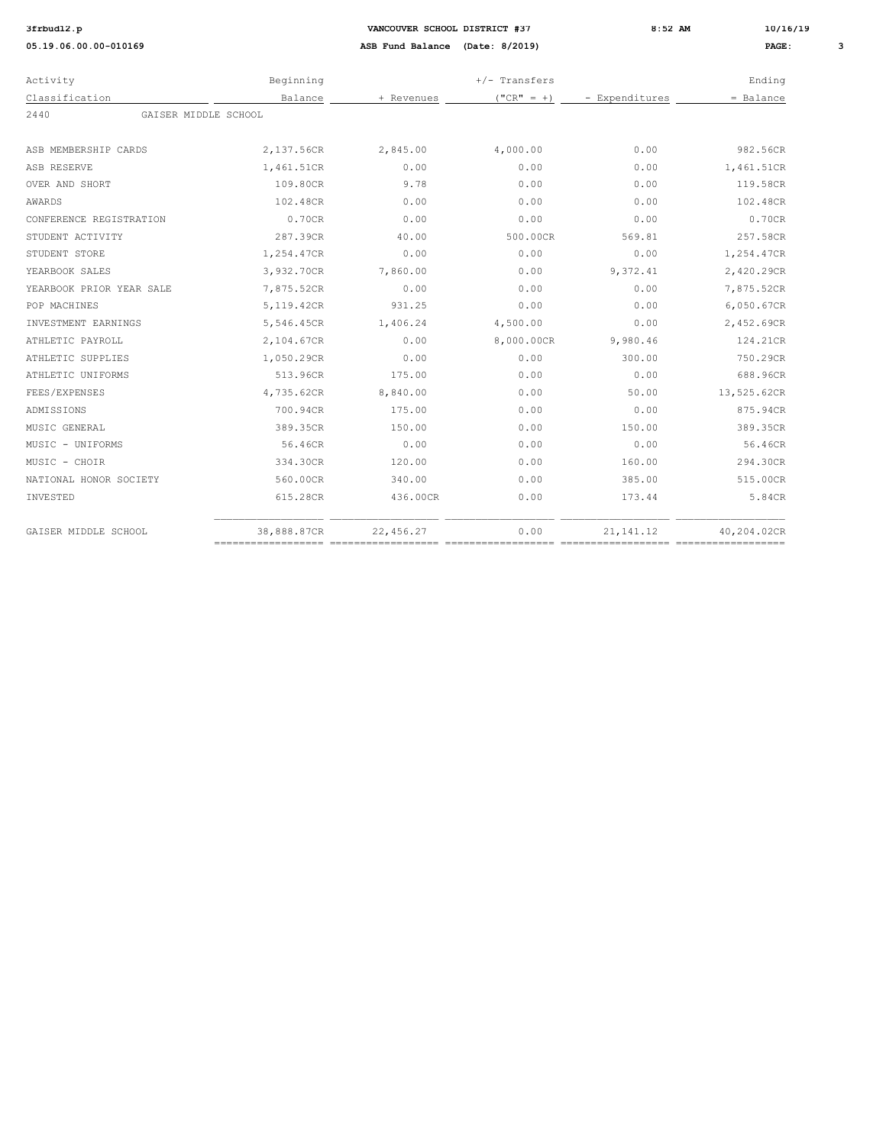| Activity                     | Beginning   |            | $+/-$ Transfers |                | Ending      |
|------------------------------|-------------|------------|-----------------|----------------|-------------|
| Classification               | Balance     | + Revenues | $("CR" = +)$    | - Expenditures | = Balance   |
| 2440<br>GAISER MIDDLE SCHOOL |             |            |                 |                |             |
| ASB MEMBERSHIP CARDS         | 2,137.56CR  | 2,845.00   | 4,000.00        | 0.00           | 982.56CR    |
| ASB RESERVE                  | 1,461.51CR  | 0.00       | 0.00            | 0.00           | 1,461.51CR  |
| OVER AND SHORT               | 109.80CR    | 9.78       | 0.00            | 0.00           | 119.58CR    |
| AWARDS                       | 102.48CR    | 0.00       | 0.00            | 0.00           | 102.48CR    |
| CONFERENCE REGISTRATION      | 0.70CR      | 0.00       | 0.00            | 0.00           | 0.70CR      |
| STUDENT ACTIVITY             | 287.39CR    | 40.00      | 500.00CR        | 569.81         | 257.58CR    |
| STUDENT STORE                | 1,254.47CR  | 0.00       | 0.00            | 0.00           | 1,254.47CR  |
| YEARBOOK SALES               | 3,932.70CR  | 7,860.00   | 0.00            | 9,372.41       | 2,420.29CR  |
| YEARBOOK PRIOR YEAR SALE     | 7,875.52CR  | 0.00       | 0.00            | 0.00           | 7,875.52CR  |
| POP MACHINES                 | 5,119.42CR  | 931.25     | 0.00            | 0.00           | 6,050.67CR  |
| INVESTMENT EARNINGS          | 5,546.45CR  | 1,406.24   | 4,500.00        | 0.00           | 2,452.69CR  |
| ATHLETIC PAYROLL             | 2,104.67CR  | 0.00       | 8,000.00CR      | 9,980.46       | 124.21CR    |
| ATHLETIC SUPPLIES            | 1,050.29CR  | 0.00       | 0.00            | 300.00         | 750.29CR    |
| ATHLETIC UNIFORMS            | 513.96CR    | 175.00     | 0.00            | 0.00           | 688.96CR    |
| FEES/EXPENSES                | 4,735.62CR  | 8,840.00   | 0.00            | 50.00          | 13,525.62CR |
| ADMISSIONS                   | 700.94CR    | 175.00     | 0.00            | 0.00           | 875.94CR    |
| MUSIC GENERAL                | 389.35CR    | 150.00     | 0.00            | 150.00         | 389.35CR    |
| MUSIC - UNIFORMS             | 56.46CR     | 0.00       | 0.00            | 0.00           | 56.46CR     |
| MUSIC - CHOIR                | 334.30CR    | 120.00     | 0.00            | 160.00         | 294.30CR    |
| NATIONAL HONOR SOCIETY       | 560.00CR    | 340.00     | 0.00            | 385.00         | 515.00CR    |
| INVESTED                     | 615.28CR    | 436.00CR   | 0.00            | 173.44         | 5.84CR      |
| GAISER MIDDLE SCHOOL         | 38,888.87CR | 22,456.27  | 0.00            | 21, 141. 12    | 40.204.02CR |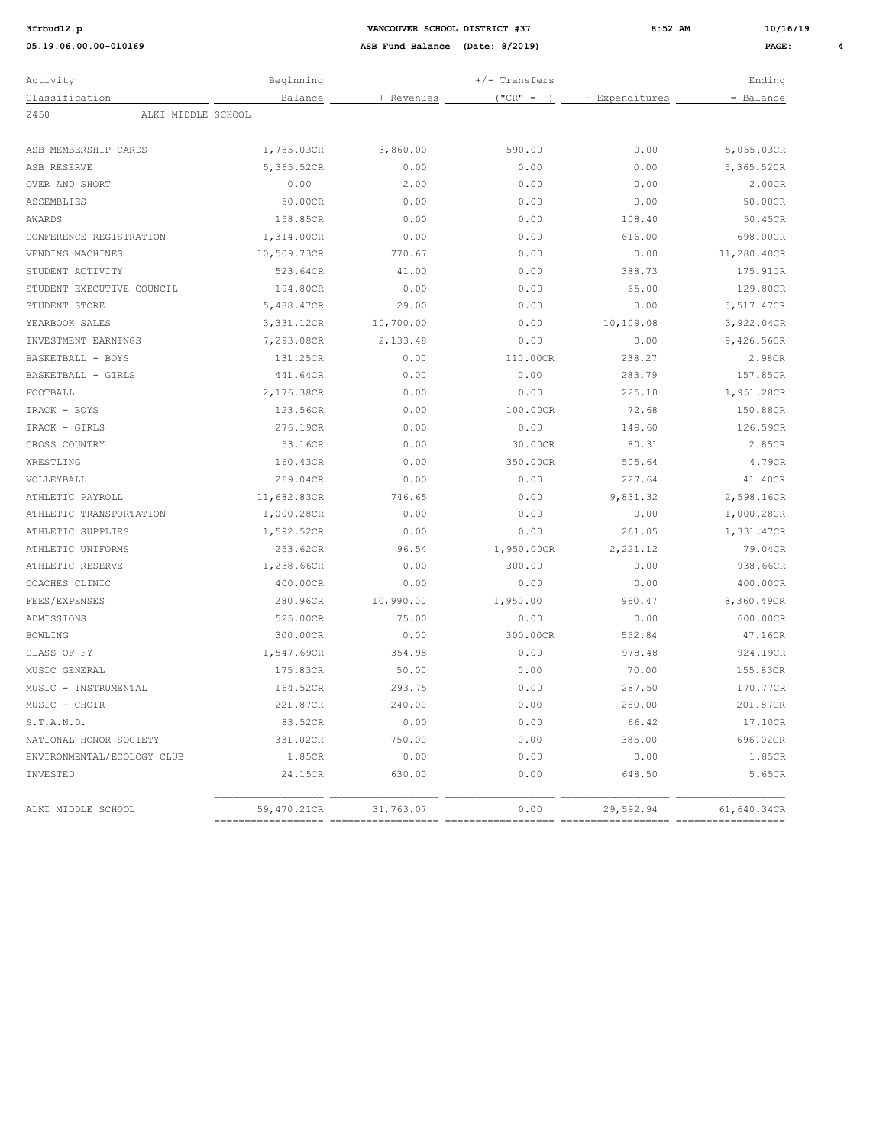| 3frbud12 |  |
|----------|--|
|----------|--|

**3frbud12.p VANCOUVER SCHOOL DISTRICT #37 8:52 AM 10/16/19 05.19.06.00.00-010169 ASB Fund Balance (Date: 8/2019) PAGE: 4**

| Activity                   | Beginning   |            | $+/-$ Transfers |                | Ending      |
|----------------------------|-------------|------------|-----------------|----------------|-------------|
| Classification             | Balance     | + Revenues | $("CR" = +)$    | - Expenditures | $=$ Balance |
| ALKI MIDDLE SCHOOL<br>2450 |             |            |                 |                |             |
| ASB MEMBERSHIP CARDS       | 1,785.03CR  | 3,860.00   | 590.00          | 0.00           | 5,055.03CR  |
| ASB RESERVE                | 5,365.52CR  | 0.00       | 0.00            | 0.00           | 5,365.52CR  |
| OVER AND SHORT             | 0.00        | 2.00       | 0.00            | 0.00           | 2.00CR      |
| ASSEMBLIES                 | 50.00CR     | 0.00       | 0.00            | 0.00           | 50.00CR     |
| AWARDS                     | 158.85CR    | 0.00       | 0.00            | 108.40         | 50.45CR     |
| CONFERENCE REGISTRATION    | 1,314.00CR  | 0.00       | 0.00            | 616.00         | 698.00CR    |
| VENDING MACHINES           | 10,509.73CR | 770.67     | 0.00            | 0.00           | 11,280.40CR |
| STUDENT ACTIVITY           | 523.64CR    | 41.00      | 0.00            | 388.73         | 175.91CR    |
| STUDENT EXECUTIVE COUNCIL  | 194.80CR    | 0.00       | 0.00            | 65.00          | 129.80CR    |
| STUDENT STORE              | 5,488.47CR  | 29.00      | 0.00            | 0.00           | 5,517.47CR  |
| YEARBOOK SALES             | 3,331.12CR  | 10,700.00  | 0.00            | 10,109.08      | 3,922.04CR  |
| INVESTMENT EARNINGS        | 7,293.08CR  | 2,133.48   | 0.00            | 0.00           | 9,426.56CR  |
| BASKETBALL - BOYS          | 131.25CR    | 0.00       | 110.00CR        | 238.27         | 2.98CR      |
| BASKETBALL - GIRLS         | 441.64CR    | 0.00       | 0.00            | 283.79         | 157.85CR    |
| FOOTBALL                   | 2,176.38CR  | 0.00       | 0.00            | 225.10         | 1,951.28CR  |
| TRACK - BOYS               | 123.56CR    | 0.00       | 100.00CR        | 72.68          | 150.88CR    |
| TRACK - GIRLS              | 276.19CR    | 0.00       | 0.00            | 149.60         | 126.59CR    |
| CROSS COUNTRY              | 53.16CR     | 0.00       | 30.00CR         | 80.31          | 2.85CR      |
| WRESTLING                  | 160.43CR    | 0.00       | 350.00CR        | 505.64         | 4.79CR      |
| VOLLEYBALL                 | 269.04CR    | 0.00       | 0.00            | 227.64         | 41.40CR     |
| ATHLETIC PAYROLL           | 11,682.83CR | 746.65     | 0.00            | 9,831.32       | 2,598.16CR  |
| ATHLETIC TRANSPORTATION    | 1,000.28CR  | 0.00       | 0.00            | 0.00           | 1,000.28CR  |
| ATHLETIC SUPPLIES          | 1,592.52CR  | 0.00       | 0.00            | 261.05         | 1,331.47CR  |
| ATHLETIC UNIFORMS          | 253.62CR    | 96.54      | 1,950.00CR      | 2, 221.12      | 79.04CR     |
| ATHLETIC RESERVE           | 1,238.66CR  | 0.00       | 300.00          | 0.00           | 938.66CR    |
| COACHES CLINIC             | 400.00CR    | 0.00       | 0.00            | 0.00           | 400.00CR    |
| FEES/EXPENSES              | 280.96CR    | 10,990.00  | 1,950.00        | 960.47         | 8,360.49CR  |
| ADMISSIONS                 | 525.00CR    | 75.00      | 0.00            | 0.00           | 600.00CR    |
| <b>BOWLING</b>             | 300.00CR    | 0.00       | 300.00CR        | 552.84         | 47.16CR     |
| CLASS OF FY                | 1,547.69CR  | 354.98     | 0.00            | 978.48         | 924.19CR    |
| MUSIC GENERAL              | 175.83CR    | 50.00      | 0.00            | 70.00          | 155.83CR    |
| MUSIC - INSTRUMENTAL       | 164.52CR    | 293.75     | 0.00            | 287.50         | 170.77CR    |
| MUSIC - CHOIR              | 221.87CR    | 240.00     | 0.00            | 260.00         | 201.87CR    |
| S.T.A.N.D.                 | 83.52CR     | 0.00       | 0.00            | 66.42          | 17.10CR     |
| NATIONAL HONOR SOCIETY     | 331.02CR    | 750.00     | 0.00            | 385.00         | 696.02CR    |
| ENVIRONMENTAL/ECOLOGY CLUB | 1.85CR      | 0.00       | 0.00            | 0.00           | 1.85CR      |
| INVESTED                   | 24.15CR     | 630.00     | 0.00            | 648.50         | 5.65CR      |
| ALKI MIDDLE SCHOOL         | 59,470.21CR | 31,763.07  | 0.00            | 29,592.94      | 61,640.34CR |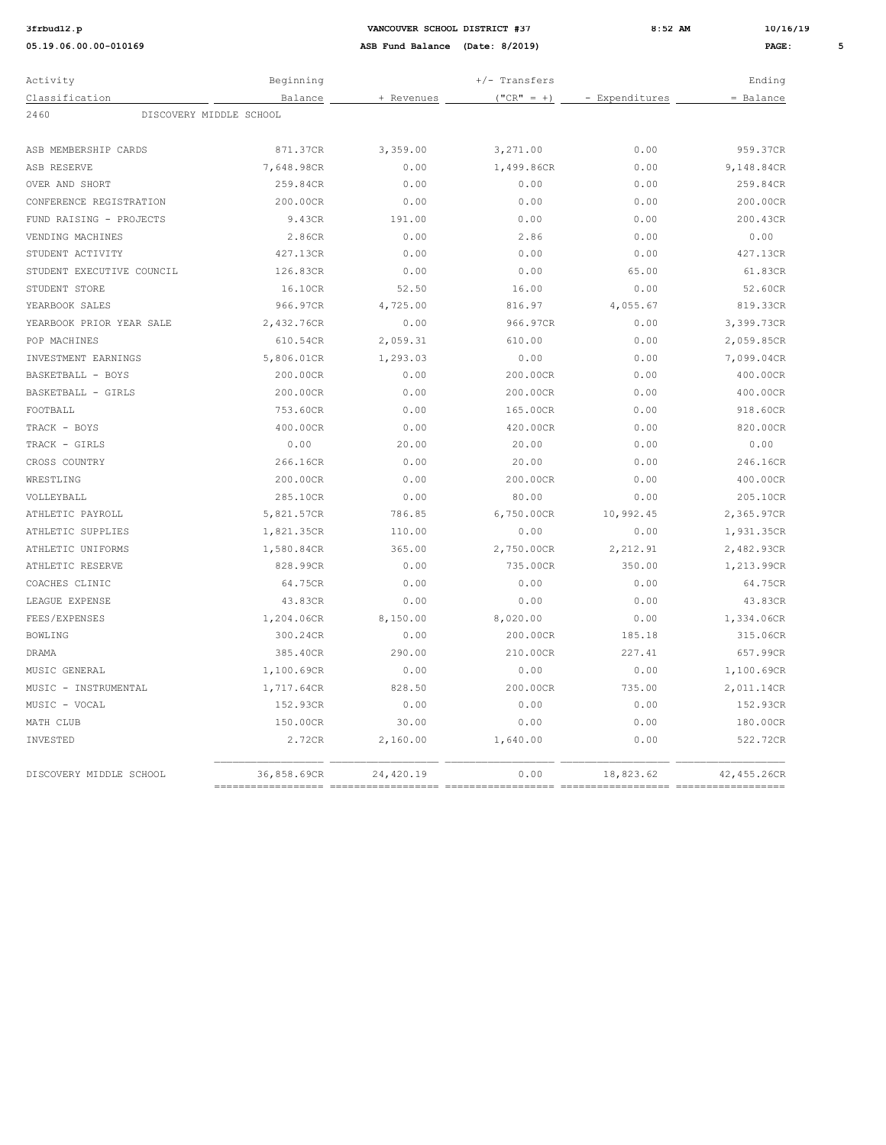## **3:52 AM 10/16/19 12.02.19 12.02.19 8:52 AM 10/16/19**

| Activity                        | Beginning                          | +/- Transfers                   |                            |                | Ending      |
|---------------------------------|------------------------------------|---------------------------------|----------------------------|----------------|-------------|
| Classification                  | Balance                            | + Revenues                      | $("CR" = +)$               | - Expenditures | = Balance   |
| 2460<br>DISCOVERY MIDDLE SCHOOL |                                    |                                 |                            |                |             |
|                                 |                                    |                                 |                            |                |             |
| ASB MEMBERSHIP CARDS            | 871.37CR                           | 3,359.00                        | 3,271.00                   | 0.00           | 959.37CR    |
| ASB RESERVE                     | 7,648.98CR                         | 0.00                            | 1,499.86CR                 | 0.00           | 9,148.84CR  |
| OVER AND SHORT                  | 259.84CR                           | 0.00                            | 0.00                       | 0.00           | 259.84CR    |
| CONFERENCE REGISTRATION         | 200.00CR                           | 0.00                            | 0.00                       | 0.00           | 200.00CR    |
| FUND RAISING - PROJECTS         | 9.43CR                             | 191.00                          | 0.00                       | 0.00           | 200.43CR    |
| VENDING MACHINES                | 2.86CR                             | 0.00                            | 2.86                       | 0.00           | 0.00        |
| STUDENT ACTIVITY                | 427.13CR                           | 0.00                            | 0.00                       | 0.00           | 427.13CR    |
| STUDENT EXECUTIVE COUNCIL       | 126.83CR                           | 0.00                            | 0.00                       | 65.00          | 61.83CR     |
| STUDENT STORE                   | 16.10CR                            | 52.50                           | 16.00                      | 0.00           | 52.60CR     |
| YEARBOOK SALES                  | 966.97CR                           | 4,725.00                        | 816.97                     | 4,055.67       | 819.33CR    |
| YEARBOOK PRIOR YEAR SALE        | 2,432.76CR                         | 0.00                            | 966.97CR                   | 0.00           | 3,399.73CR  |
| POP MACHINES                    | 610.54CR                           | 2,059.31                        | 610.00                     | 0.00           | 2,059.85CR  |
| INVESTMENT EARNINGS             | 5,806.01CR                         | 1,293.03                        | 0.00                       | 0.00           | 7,099.04CR  |
| BASKETBALL - BOYS               | 200.00CR                           | 0.00                            | 200.00CR                   | 0.00           | 400.00CR    |
| BASKETBALL - GIRLS              | 200.00CR                           | ${\bf 0}$ . ${\bf 0}$ ${\bf 0}$ | 200.00CR                   | 0.00           | 400.00CR    |
| FOOTBALL                        | 753.60CR                           | 0.00                            | 165.00CR                   | 0.00           | 918.60CR    |
| TRACK - BOYS                    | 400.00CR                           | 0.00                            | 420.00CR                   | 0.00           | 820.00CR    |
| TRACK - GIRLS                   | 0.00                               | 20.00                           | 20.00                      | 0.00           | 0.00        |
| CROSS COUNTRY                   | 266.16CR                           | 0.00                            | 20.00                      | 0.00           | 246.16CR    |
| WRESTLING                       | 200.00CR                           | 0.00                            | 200.00CR                   | 0.00           | 400.00CR    |
| VOLLEYBALL                      | 285.10CR                           | 0.00                            | 80.00                      | 0.00           | 205.10CR    |
| ATHLETIC PAYROLL                | 5,821.57CR                         | 786.85                          | 6,750.00CR                 | 10,992.45      | 2,365.97CR  |
| ATHLETIC SUPPLIES               | 1,821.35CR                         | 110.00                          | 0.00                       | 0.00           | 1,931.35CR  |
| ATHLETIC UNIFORMS               | 1,580.84CR                         | 365.00                          | 2,750.00CR                 | 2, 212.91      | 2,482.93CR  |
| ATHLETIC RESERVE                | 828.99CR                           | 0.00                            | 735.00CR                   | 350.00         | 1,213.99CR  |
| COACHES CLINIC                  | 64.75CR                            | 0.00                            | 0.00                       | 0.00           | 64.75CR     |
| LEAGUE EXPENSE                  | 43.83CR                            | 0.00                            | 0.00                       | 0.00           | 43.83CR     |
| FEES/EXPENSES                   | 1,204.06CR                         | 8,150.00                        | 8,020.00                   | 0.00           | 1,334.06CR  |
| <b>BOWLING</b>                  | 300.24CR                           | 0.00                            | 200.00CR                   | 185.18         | 315.06CR    |
| <b>DRAMA</b>                    | 385.40CR                           | 290.00                          | 210.00CR                   | 227.41         | 657.99CR    |
| MUSIC GENERAL                   | 1,100.69CR                         | 0.00                            | 0.00                       | 0.00           | 1,100.69CR  |
| MUSIC - INSTRUMENTAL            | 1,717.64CR                         | 828.50                          | 200.00CR                   | 735.00         | 2,011.14CR  |
| MUSIC - VOCAL                   | 152.93CR                           | 0.00                            | 0.00                       | 0.00           | 152.93CR    |
| MATH CLUB                       | 150.00CR                           | 30.00                           | 0.00                       | 0.00           | 180.00CR    |
| INVESTED                        | 2.72CR                             | 2,160.00                        | 1,640.00                   | 0.00           | 522.72CR    |
| DISCOVERY MIDDLE SCHOOL         | 36,858.69CR<br>=================== | 24,420.19                       | 0.00<br>================== | 18,823.62      | 42,455.26CR |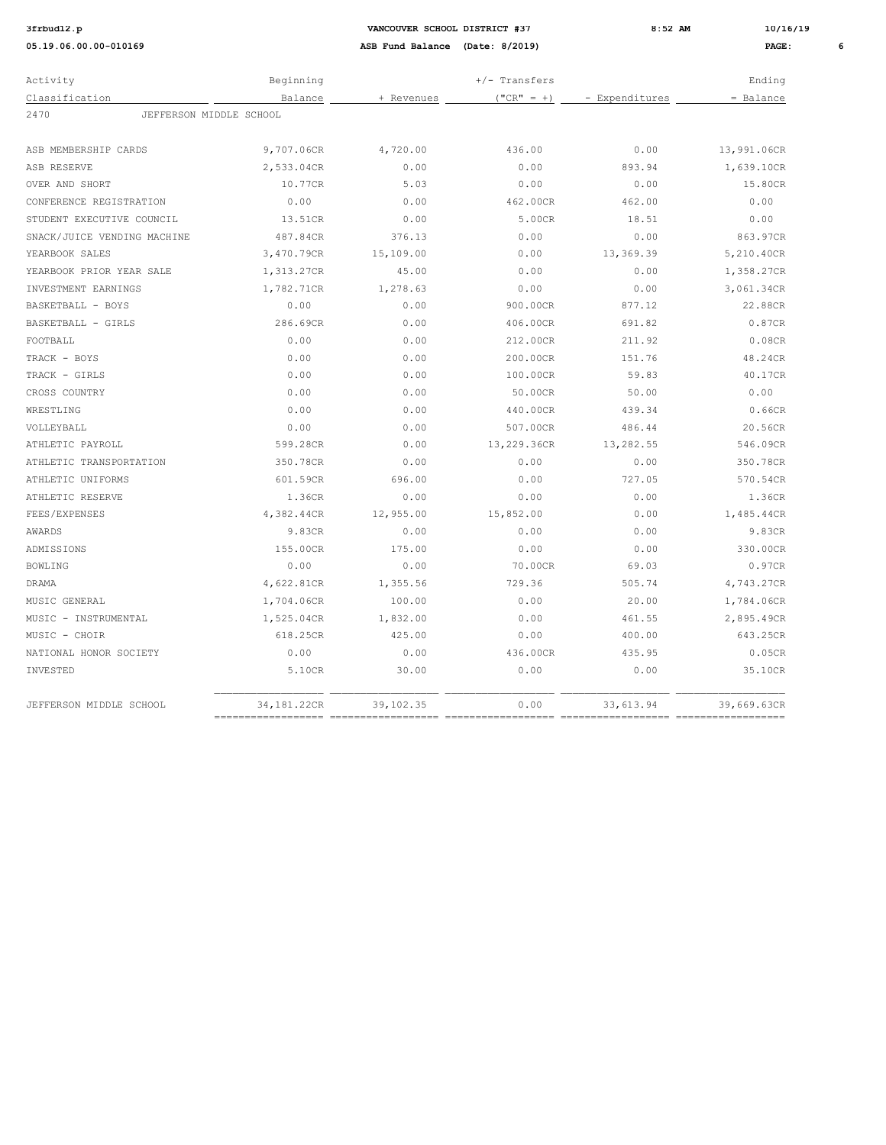| Activity                        | Beginning                          |            | $+/-$ Transfers |                | Ending      |
|---------------------------------|------------------------------------|------------|-----------------|----------------|-------------|
| Classification                  | Balance                            | + Revenues | $("CR" = +)$    | - Expenditures | $=$ Balance |
| 2470<br>JEFFERSON MIDDLE SCHOOL |                                    |            |                 |                |             |
| ASB MEMBERSHIP CARDS            | 9,707.06CR                         | 4,720.00   | 436.00          | 0.00           | 13,991.06CR |
| ASB RESERVE                     | 2,533.04CR                         | 0.00       | 0.00            | 893.94         | 1,639.10CR  |
| OVER AND SHORT                  | 10.77CR                            | 5.03       | 0.00            | 0.00           | 15.80CR     |
| CONFERENCE REGISTRATION         | 0.00                               | 0.00       | 462.00CR        | 462.00         | 0.00        |
| STUDENT EXECUTIVE COUNCIL       | 13.51CR                            | 0.00       | 5.00CR          | 18.51          | 0.00        |
| SNACK/JUICE VENDING MACHINE     | 487.84CR                           | 376.13     | 0.00            | 0.00           | 863.97CR    |
| YEARBOOK SALES                  | 3,470.79CR                         | 15,109.00  | 0.00            | 13,369.39      | 5,210.40CR  |
| YEARBOOK PRIOR YEAR SALE        | 1,313.27CR                         | 45.00      | 0.00            | 0.00           | 1,358.27CR  |
| INVESTMENT EARNINGS             | 1,782.71CR                         | 1,278.63   | 0.00            | 0.00           | 3,061.34CR  |
| BASKETBALL - BOYS               | 0.00                               | 0.00       | 900.00CR        | 877.12         | 22.88CR     |
| BASKETBALL - GIRLS              | 286.69CR                           | 0.00       | 406.00CR        | 691.82         | 0.87CR      |
| FOOTBALL                        | 0.00                               | 0.00       | 212.00CR        | 211.92         | 0.08CR      |
| TRACK - BOYS                    | 0.00                               | 0.00       | 200.00CR        | 151.76         | 48.24CR     |
| TRACK - GIRLS                   | 0.00                               | 0.00       | 100.00CR        | 59.83          | 40.17CR     |
| CROSS COUNTRY                   | 0.00                               | 0.00       | 50.00CR         | 50.00          | 0.00        |
| WRESTLING                       | 0.00                               | 0.00       | 440.00CR        | 439.34         | 0.66CR      |
| VOLLEYBALL                      | 0.00                               | 0.00       | 507.00CR        | 486.44         | 20.56CR     |
| ATHLETIC PAYROLL                | 599.28CR                           | 0.00       | 13,229.36CR     | 13,282.55      | 546.09CR    |
| ATHLETIC TRANSPORTATION         | 350.78CR                           | 0.00       | 0.00            | 0.00           | 350.78CR    |
| ATHLETIC UNIFORMS               | 601.59CR                           | 696.00     | 0.00            | 727.05         | 570.54CR    |
| ATHLETIC RESERVE                | 1.36CR                             | 0.00       | 0.00            | 0.00           | 1.36CR      |
| FEES/EXPENSES                   | 4,382.44CR                         | 12,955.00  | 15,852.00       | 0.00           | 1,485.44CR  |
| AWARDS                          | 9.83CR                             | 0.00       | 0.00            | 0.00           | 9.83CR      |
| <b>ADMISSIONS</b>               | 155.00CR                           | 175.00     | 0.00            | 0.00           | 330.00CR    |
| <b>BOWLING</b>                  | 0.00                               | 0.00       | 70.00CR         | 69.03          | 0.97CR      |
| <b>DRAMA</b>                    | 4,622.81CR                         | 1,355.56   | 729.36          | 505.74         | 4,743.27CR  |
| MUSIC GENERAL                   | 1,704.06CR                         | 100.00     | 0.00            | 20.00          | 1,784.06CR  |
| MUSIC - INSTRUMENTAL            | 1,525.04CR                         | 1,832.00   | 0.00            | 461.55         | 2,895.49CR  |
| MUSIC - CHOIR                   | 618.25CR                           | 425.00     | 0.00            | 400.00         | 643.25CR    |
| NATIONAL HONOR SOCIETY          | 0.00                               | 0.00       | 436.00CR        | 435.95         | 0.05CR      |
| INVESTED                        | 5.10CR                             | 30.00      | 0.00            | 0.00           | 35.10CR     |
| JEFFERSON MIDDLE SCHOOL         | 34,181.22CR<br>$=$ $=$ $=$ $=$ $=$ | 39,102.35  | 0.00            | 33, 613.94     | 39,669.63CR |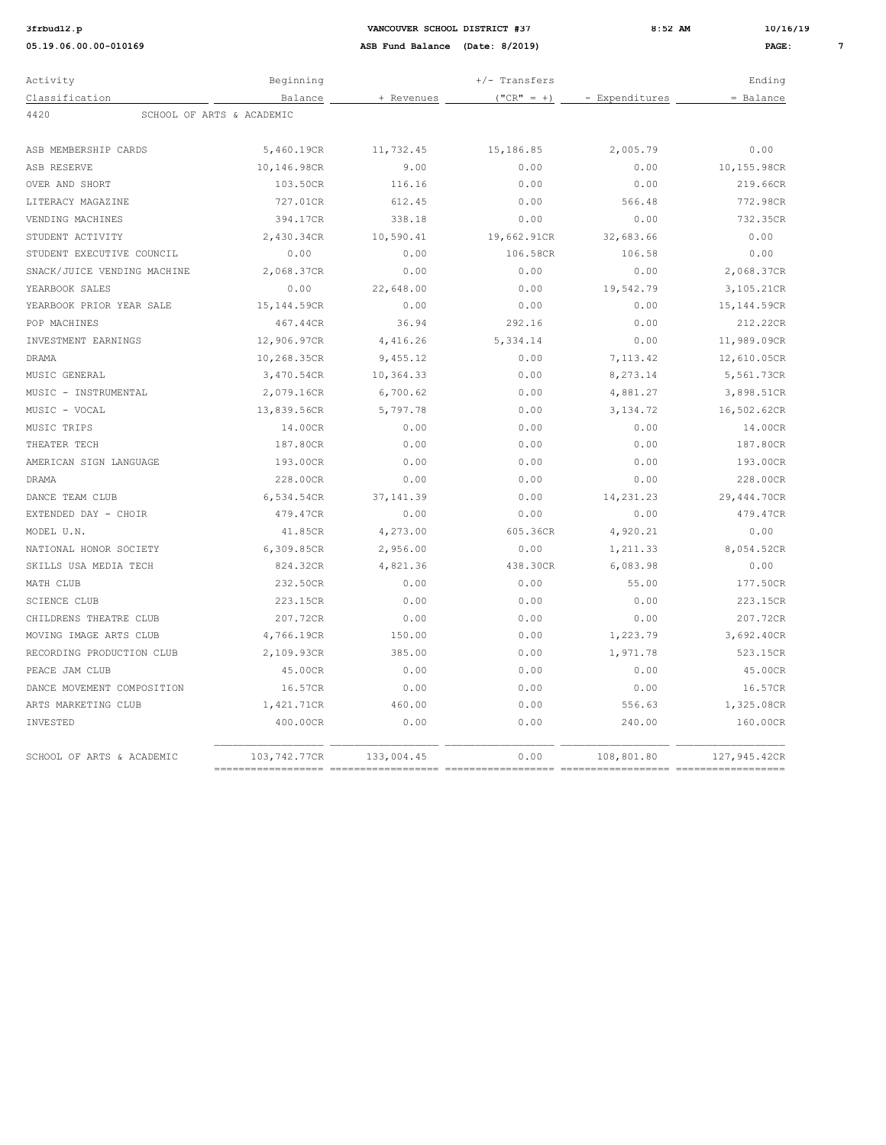| Activity                          | Beginning    |            | $+/-$ Transfers |                | Ending       |
|-----------------------------------|--------------|------------|-----------------|----------------|--------------|
| Classification                    | Balance      | + Revenues | $("CR" = +)$    | - Expenditures | = Balance    |
| 4420<br>SCHOOL OF ARTS & ACADEMIC |              |            |                 |                |              |
| ASB MEMBERSHIP CARDS              | 5,460.19CR   | 11,732.45  | 15,186.85       | 2,005.79       | 0.00         |
| ASB RESERVE                       | 10,146.98CR  | 9.00       | 0.00            | 0.00           | 10,155.98CR  |
| OVER AND SHORT                    | 103.50CR     | 116.16     | 0.00            | 0.00           | 219.66CR     |
| LITERACY MAGAZINE                 | 727.01CR     | 612.45     | 0.00            | 566.48         | 772.98CR     |
| VENDING MACHINES                  | 394.17CR     | 338.18     | 0.00            | 0.00           | 732.35CR     |
| STUDENT ACTIVITY                  | 2,430.34CR   | 10,590.41  | 19,662.91CR     | 32,683.66      | 0.00         |
| STUDENT EXECUTIVE COUNCIL         | 0.00         | 0.00       | 106.58CR        | 106.58         | 0.00         |
| SNACK/JUICE VENDING MACHINE       | 2,068.37CR   | 0.00       | 0.00            | 0.00           | 2,068.37CR   |
| YEARBOOK SALES                    | 0.00         | 22,648.00  | 0.00            | 19,542.79      | 3,105.21CR   |
| YEARBOOK PRIOR YEAR SALE          | 15,144.59CR  | 0.00       | 0.00            | 0.00           | 15,144.59CR  |
| POP MACHINES                      | 467.44CR     | 36.94      | 292.16          | 0.00           | 212.22CR     |
| INVESTMENT EARNINGS               | 12,906.97CR  | 4,416.26   | 5,334.14        | 0.00           | 11,989.09CR  |
| DRAMA                             | 10,268.35CR  | 9,455.12   | 0.00            | 7, 113.42      | 12,610.05CR  |
| MUSIC GENERAL                     | 3,470.54CR   | 10,364.33  | 0.00            | 8,273.14       | 5,561.73CR   |
| MUSIC - INSTRUMENTAL              | 2,079.16CR   | 6,700.62   | 0.00            | 4,881.27       | 3,898.51CR   |
| MUSIC - VOCAL                     | 13,839.56CR  | 5,797.78   | 0.00            | 3, 134.72      | 16,502.62CR  |
| MUSIC TRIPS                       | 14.00CR      | 0.00       | 0.00            | 0.00           | 14.00CR      |
| THEATER TECH                      | 187.80CR     | 0.00       | 0.00            | 0.00           | 187.80CR     |
| AMERICAN SIGN LANGUAGE            | 193.00CR     | 0.00       | 0.00            | 0.00           | 193.00CR     |
| <b>DRAMA</b>                      | 228.00CR     | 0.00       | 0.00            | 0.00           | 228.00CR     |
| DANCE TEAM CLUB                   | 6,534.54CR   | 37.141.39  | 0.00            | 14, 231. 23    | 29,444.70CR  |
| EXTENDED DAY - CHOIR              | 479.47CR     | 0.00       | 0.00            | 0.00           | 479.47CR     |
| MODEL U.N.                        | 41.85CR      | 4,273.00   | 605.36CR        | 4,920.21       | 0.00         |
| NATIONAL HONOR SOCIETY            | 6,309.85CR   | 2,956.00   | 0.00            | 1,211.33       | 8,054.52CR   |
| SKILLS USA MEDIA TECH             | 824.32CR     | 4,821.36   | 438.30CR        | 6,083.98       | 0.00         |
| MATH CLUB                         | 232.50CR     | 0.00       | 0.00            | 55.00          | 177.50CR     |
| <b>SCIENCE CLUB</b>               | 223.15CR     | 0.00       | 0.00            | 0.00           | 223.15CR     |
| CHILDRENS THEATRE CLUB            | 207.72CR     | 0.00       | 0.00            | 0.00           | 207.72CR     |
| MOVING IMAGE ARTS CLUB            | 4,766.19CR   | 150.00     | 0.00            | 1,223.79       | 3,692.40CR   |
| RECORDING PRODUCTION CLUB         | 2,109.93CR   | 385.00     | 0.00            | 1,971.78       | 523.15CR     |
| PEACE JAM CLUB                    | 45.00CR      | 0.00       | 0.00            | 0.00           | 45.00CR      |
| DANCE MOVEMENT COMPOSITION        | 16.57CR      | 0.00       | 0.00            | 0.00           | 16.57CR      |
| ARTS MARKETING CLUB               | 1,421.71CR   | 460.00     | 0.00            | 556.63         | 1,325.08CR   |
| INVESTED                          | 400.00CR     | 0.00       | 0.00            | 240.00         | 160.00CR     |
| SCHOOL OF ARTS & ACADEMIC         | 103,742.77CR | 133,004.45 | 0.00            | 108,801.80     | 127,945.42CR |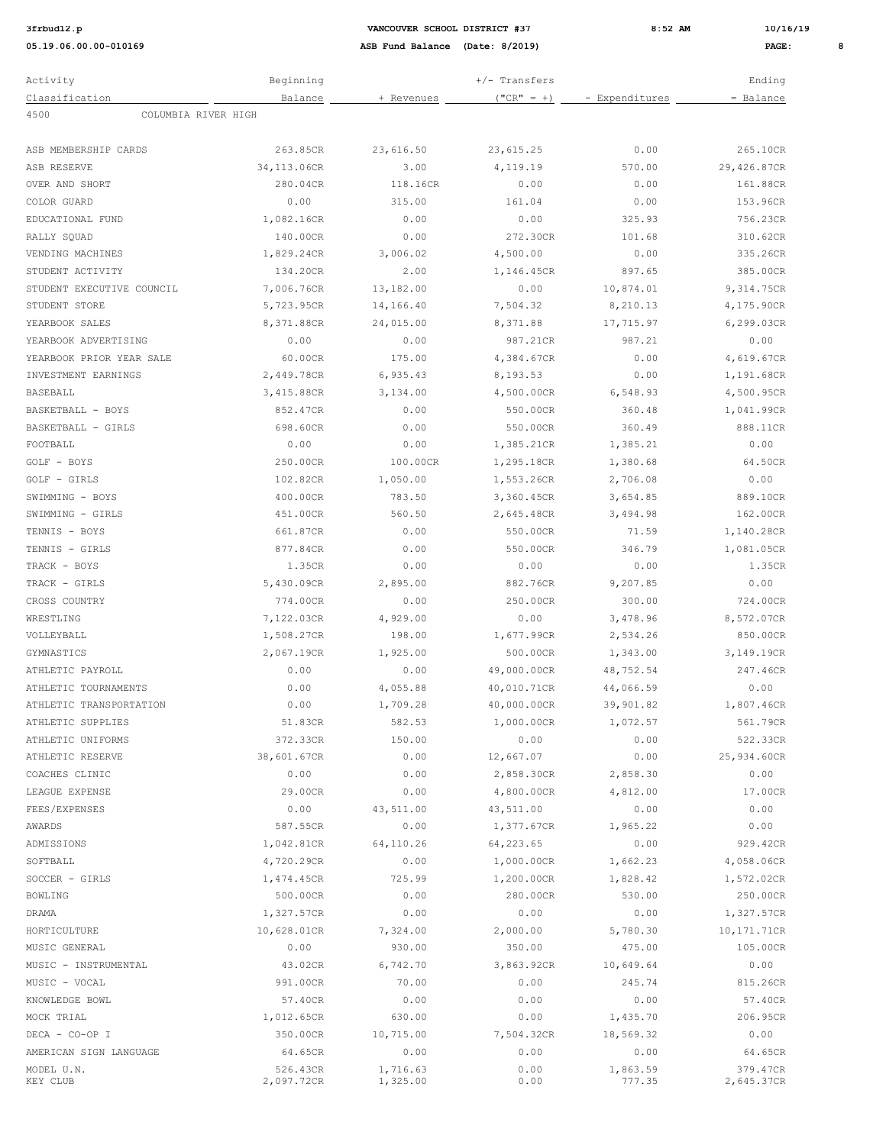**05.19.06.00.00-010169 ASB Fund Balance (Date: 8/2019) PAGE: 8**

**3frbud12.p VANCOUVER SCHOOL DISTRICT #37 8:52 AM 10/16/19**

| Activity                    | Beginning              | $+/-$ Transfers      |              |                    | Ending                 |  |
|-----------------------------|------------------------|----------------------|--------------|--------------------|------------------------|--|
| Classification              | Balance                | + Revenues           | $("CR" = +)$ | - Expenditures     | = Balance              |  |
| 4500<br>COLUMBIA RIVER HIGH |                        |                      |              |                    |                        |  |
|                             |                        |                      |              |                    |                        |  |
| ASB MEMBERSHIP CARDS        | 263.85CR               | 23,616.50            | 23,615.25    | 0.00               | 265.10CR               |  |
| ASB RESERVE                 | 34,113.06CR            | 3.00                 | 4,119.19     | 570.00             | 29,426.87CR            |  |
| OVER AND SHORT              | 280.04CR               | 118.16CR             | 0.00         | 0.00               | 161.88CR               |  |
| COLOR GUARD                 | 0.00                   | 315.00               | 161.04       | 0.00               | 153.96CR               |  |
| EDUCATIONAL FUND            | 1,082.16CR             | 0.00                 | 0.00         | 325.93             | 756.23CR               |  |
| RALLY SQUAD                 | 140.00CR               | 0.00                 | 272.30CR     | 101.68             | 310.62CR               |  |
| VENDING MACHINES            | 1,829.24CR             | 3,006.02             | 4,500.00     | 0.00               | 335.26CR               |  |
| STUDENT ACTIVITY            | 134.20CR               | 2.00                 | 1,146.45CR   | 897.65             | 385.00CR               |  |
| STUDENT EXECUTIVE COUNCIL   | 7,006.76CR             | 13,182.00            | 0.00         | 10,874.01          | 9,314.75CR             |  |
| STUDENT STORE               | 5,723.95CR             | 14,166.40            | 7,504.32     | 8,210.13           | 4,175.90CR             |  |
| YEARBOOK SALES              | 8,371.88CR             | 24,015.00            | 8,371.88     | 17,715.97          | 6,299.03CR             |  |
| YEARBOOK ADVERTISING        | 0.00                   | 0.00                 | 987.21CR     | 987.21             | 0.00                   |  |
| YEARBOOK PRIOR YEAR SALE    | 60.00CR                | 175.00               | 4,384.67CR   | 0.00               | 4,619.67CR             |  |
| INVESTMENT EARNINGS         | 2,449.78CR             | 6,935.43             | 8,193.53     | 0.00               | 1,191.68CR             |  |
| BASEBALL                    | 3,415.88CR             | 3,134.00             | 4,500.00CR   | 6,548.93           | 4,500.95CR             |  |
| BASKETBALL - BOYS           | 852.47CR               | 0.00                 | 550.00CR     | 360.48             | 1,041.99CR             |  |
| BASKETBALL - GIRLS          | 698.60CR               | 0.00                 | 550.00CR     | 360.49             | 888.11CR               |  |
| FOOTBALL                    | 0.00                   | 0.00                 | 1,385.21CR   | 1,385.21           | 0.00                   |  |
| GOLF - BOYS                 | 250.00CR               | 100.00CR             | 1,295.18CR   | 1,380.68           | 64.50CR                |  |
| GOLF - GIRLS                | 102.82CR               | 1,050.00             | 1,553.26CR   | 2,706.08           | 0.00                   |  |
| SWIMMING - BOYS             | 400.00CR               | 783.50               | 3,360.45CR   | 3,654.85           | 889.10CR               |  |
| SWIMMING - GIRLS            | 451.00CR               | 560.50               | 2,645.48CR   | 3,494.98           | 162.00CR               |  |
| TENNIS - BOYS               | 661.87CR               | 0.00                 | 550.00CR     | 71.59              | 1,140.28CR             |  |
| TENNIS - GIRLS              | 877.84CR               | 0.00                 | 550.00CR     | 346.79             | 1,081.05CR             |  |
| TRACK - BOYS                | 1.35CR                 | 0.00                 | 0.00         | 0.00               | 1.35CR                 |  |
| TRACK - GIRLS               | 5,430.09CR             | 2,895.00             | 882.76CR     | 9,207.85           | 0.00                   |  |
| CROSS COUNTRY               | 774.00CR               | 0.00                 | 250.00CR     | 300.00             | 724.00CR               |  |
| WRESTLING                   | 7,122.03CR             | 4,929.00             | 0.00         | 3,478.96           | 8,572.07CR             |  |
| VOLLEYBALL                  | 1,508.27CR             | 198.00               | 1,677.99CR   | 2,534.26           | 850.00CR               |  |
| GYMNASTICS                  | 2,067.19CR             | 1,925.00             | 500.00CR     | 1,343.00           | 3,149.19CR             |  |
| ATHLETIC PAYROLL            | 0.00                   | 0.00                 | 49,000.00CR  | 48,752.54          | 247.46CR               |  |
| ATHLETIC TOURNAMENTS        | 0.00                   | 4,055.88             | 40,010.71CR  | 44,066.59          | 0.00                   |  |
| ATHLETIC TRANSPORTATION     | 0.00                   | 1,709.28             | 40,000.00CR  | 39,901.82          | 1,807.46CR             |  |
| ATHLETIC SUPPLIES           | 51.83CR                | 582.53               | 1,000.00CR   | 1,072.57           | 561.79CR               |  |
| ATHLETIC UNIFORMS           | 372.33CR               | 150.00               | 0.00         | 0.00               | 522.33CR               |  |
| ATHLETIC RESERVE            | 38,601.67CR            | 0.00                 | 12,667.07    | 0.00               | 25,934.60CR            |  |
| COACHES CLINIC              | 0.00                   | 0.00                 | 2,858.30CR   | 2,858.30           | 0.00                   |  |
| LEAGUE EXPENSE              | 29.00CR                | 0.00                 | 4,800.00CR   | 4,812.00           | 17.00CR                |  |
| FEES/EXPENSES               | 0.00                   | 43,511.00            | 43,511.00    | 0.00               | 0.00                   |  |
| AWARDS                      | 587.55CR               | 0.00                 | 1,377.67CR   | 1,965.22           | 0.00                   |  |
| ADMISSIONS                  | 1,042.81CR             | 64,110.26            | 64,223.65    | 0.00               | 929.42CR               |  |
| SOFTBALL                    | 4,720.29CR             | 0.00                 | 1,000.00CR   | 1,662.23           | 4,058.06CR             |  |
| SOCCER - GIRLS              | 1,474.45CR             | 725.99               | 1,200.00CR   | 1,828.42           | 1,572.02CR             |  |
| BOWLING                     | 500.00CR               | 0.00                 | 280.00CR     | 530.00             | 250.00CR               |  |
| DRAMA                       | 1,327.57CR             | 0.00                 | 0.00         | 0.00               | 1,327.57CR             |  |
| HORTICULTURE                | 10,628.01CR            | 7,324.00             | 2,000.00     | 5,780.30           | 10,171.71CR            |  |
| MUSIC GENERAL               | 0.00                   | 930.00               | 350.00       | 475.00             | 105.00CR               |  |
| MUSIC - INSTRUMENTAL        | 43.02CR                | 6,742.70             | 3,863.92CR   | 10,649.64          | 0.00                   |  |
| MUSIC - VOCAL               | 991.00CR               | 70.00                | 0.00         | 245.74             | 815.26CR               |  |
| KNOWLEDGE BOWL              | 57.40CR                | 0.00                 | 0.00         | 0.00               | 57.40CR                |  |
| MOCK TRIAL                  | 1,012.65CR             | 630.00               | 0.00         | 1,435.70           | 206.95CR               |  |
| DECA - CO-OP I              | 350.00CR               | 10,715.00            | 7,504.32CR   | 18,569.32          | 0.00                   |  |
| AMERICAN SIGN LANGUAGE      | 64.65CR                | 0.00                 | 0.00         | 0.00               | 64.65CR                |  |
| MODEL U.N.<br>KEY CLUB      | 526.43CR<br>2,097.72CR | 1,716.63<br>1,325.00 | 0.00<br>0.00 | 1,863.59<br>777.35 | 379.47CR<br>2,645.37CR |  |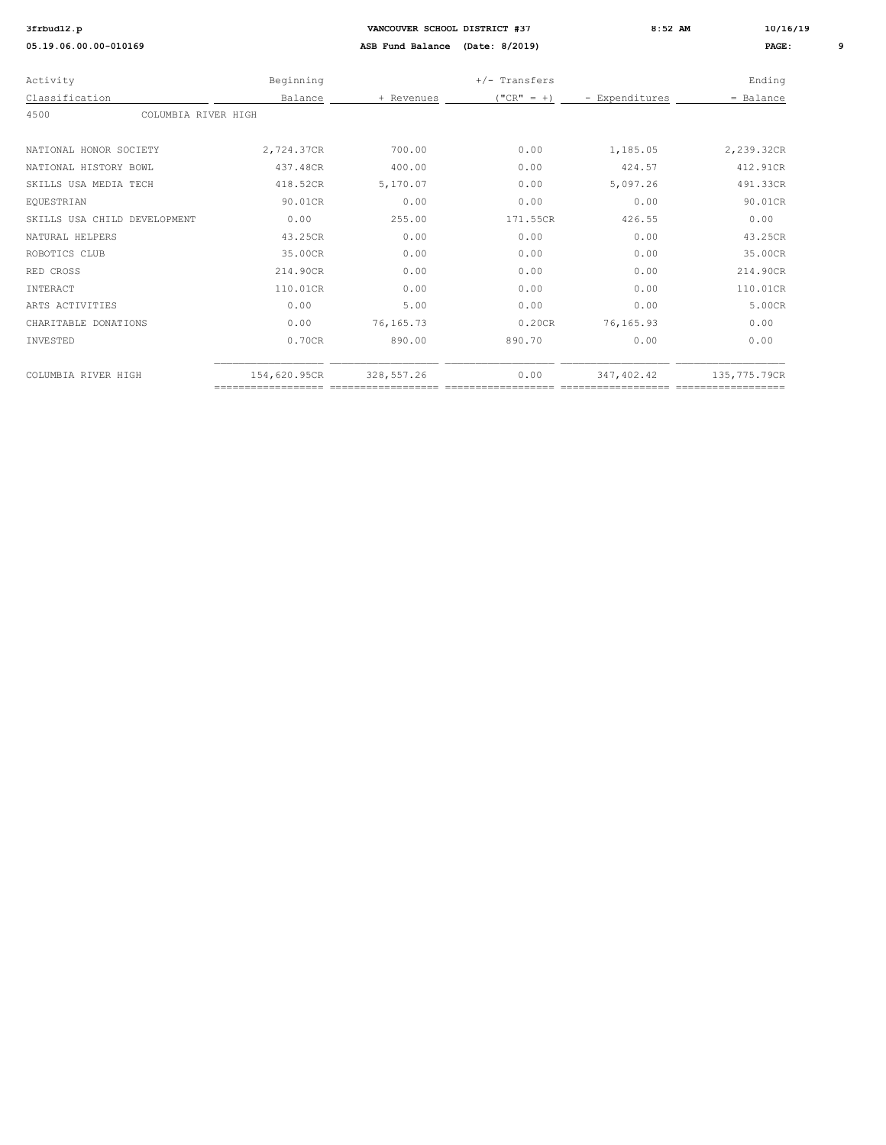| Activity                     | Beginning    |             | $+/-$ Transfers |                | Ending       |
|------------------------------|--------------|-------------|-----------------|----------------|--------------|
| Classification               | Balance      | + Revenues  | $("CR" = +)$    | - Expenditures | $=$ Balance  |
| 4500<br>COLUMBIA RIVER HIGH  |              |             |                 |                |              |
|                              |              |             |                 |                |              |
| NATIONAL HONOR SOCIETY       | 2,724.37CR   | 700.00      | 0.00            | 1,185.05       | 2,239.32CR   |
| NATIONAL HISTORY BOWL        | 437.48CR     | 400.00      | 0.00            | 424.57         | 412.91CR     |
| SKILLS USA MEDIA TECH        | 418.52CR     | 5,170.07    | 0.00            | 5,097.26       | 491.33CR     |
| EQUESTRIAN                   | 90.01CR      | 0.00        | 0.00            | 0.00           | 90.01CR      |
| SKILLS USA CHILD DEVELOPMENT | 0.00         | 255.00      | 171.55CR        | 426.55         | 0.00         |
| NATURAL HELPERS              | 43.25CR      | 0.00        | 0.00            | 0.00           | 43.25CR      |
| ROBOTICS CLUB                | 35.00CR      | 0.00        | 0.00            | 0.00           | 35.00CR      |
| RED CROSS                    | 214.90CR     | 0.00        | 0.00            | 0.00           | 214.90CR     |
| INTERACT                     | 110.01CR     | 0.00        | 0.00            | 0.00           | 110.01CR     |
| ARTS ACTIVITIES              | 0.00         | 5.00        | 0.00            | 0.00           | 5.00CR       |
| CHARITABLE DONATIONS         | 0.00         | 76, 165. 73 | 0.20CR          | 76, 165.93     | 0.00         |
| INVESTED                     | 0.70CR       | 890.00      | 890.70          | 0.00           | 0.00         |
| COLUMBIA RIVER HIGH          | 154,620.95CR | 328, 557.26 | 0.00            | 347, 402.42    | 135,775.79CR |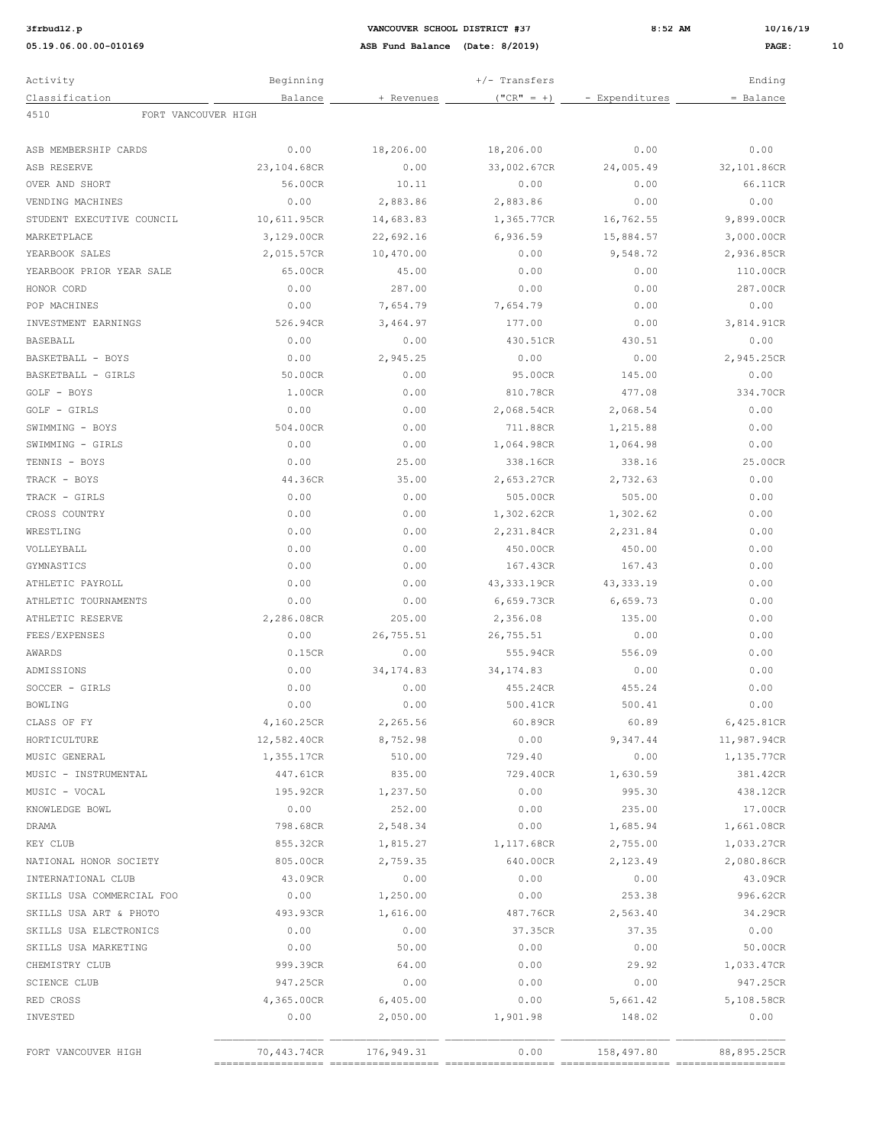**3:52 AM 10/16/19 12.9 12.9 12.9 12.9 12.9 12.9 12.9 12.9 12.9 12.9 12.9 12.9 12.9 12.9 12.9 12.9 12.9 12.9 12.9 12.9 12.9 12.9 12.9 12.9 12.9 12.9 12.9 12.9 12.9** 

| Activity                    | Beginning   |            | $+/-$ Transfers |                | Ending      |
|-----------------------------|-------------|------------|-----------------|----------------|-------------|
| Classification              | Balance     | + Revenues | $("CR" = +)$    | - Expenditures | = Balance   |
| 4510<br>FORT VANCOUVER HIGH |             |            |                 |                |             |
|                             |             |            |                 |                |             |
| ASB MEMBERSHIP CARDS        | 0.00        | 18,206.00  | 18,206.00       | 0.00           | 0.00        |
| ASB RESERVE                 | 23,104.68CR | 0.00       | 33,002.67CR     | 24,005.49      | 32,101.86CR |
| OVER AND SHORT              | 56.00CR     | 10.11      | 0.00            | 0.00           | 66.11CR     |
| VENDING MACHINES            | 0.00        | 2,883.86   | 2,883.86        | 0.00           | 0.00        |
| STUDENT EXECUTIVE COUNCIL   | 10,611.95CR | 14,683.83  | 1,365.77CR      | 16,762.55      | 9,899.00CR  |
| MARKETPLACE                 | 3,129.00CR  | 22,692.16  | 6,936.59        | 15,884.57      | 3,000.00CR  |
| YEARBOOK SALES              | 2,015.57CR  | 10,470.00  | 0.00            | 9,548.72       | 2,936.85CR  |
| YEARBOOK PRIOR YEAR SALE    | 65.00CR     | 45.00      | 0.00            | 0.00           | 110.00CR    |
| HONOR CORD                  | 0.00        | 287.00     | 0.00            | 0.00           | 287.00CR    |
| POP MACHINES                | 0.00        | 7,654.79   | 7,654.79        | 0.00           | 0.00        |
| INVESTMENT EARNINGS         | 526.94CR    | 3,464.97   | 177.00          | 0.00           | 3,814.91CR  |
| <b>BASEBALL</b>             | 0.00        | 0.00       | 430.51CR        | 430.51         | 0.00        |
| BASKETBALL - BOYS           | 0.00        | 2,945.25   | 0.00            | 0.00           | 2,945.25CR  |
| BASKETBALL - GIRLS          | 50.00CR     | 0.00       | 95.00CR         | 145.00         | 0.00        |
| GOLF - BOYS                 | 1.00CR      | 0.00       | 810.78CR        | 477.08         | 334.70CR    |
| GOLF - GIRLS                | 0.00        | 0.00       | 2,068.54CR      | 2,068.54       | 0.00        |
| SWIMMING - BOYS             | 504.00CR    | 0.00       | 711.88CR        | 1,215.88       | 0.00        |
| SWIMMING - GIRLS            | 0.00        | 0.00       | 1,064.98CR      | 1,064.98       | 0.00        |
| TENNIS - BOYS               | 0.00        | 25.00      | 338.16CR        | 338.16         | 25.00CR     |
| TRACK - BOYS                | 44.36CR     | 35.00      | 2,653.27CR      | 2,732.63       | 0.00        |
| TRACK - GIRLS               | 0.00        | 0.00       | 505.00CR        | 505.00         | 0.00        |
| CROSS COUNTRY               | 0.00        | 0.00       | 1,302.62CR      | 1,302.62       | 0.00        |
| WRESTLING                   | 0.00        | 0.00       | 2,231.84CR      | 2,231.84       | 0.00        |
| VOLLEYBALL                  | 0.00        | 0.00       | 450.00CR        | 450.00         | 0.00        |
| GYMNASTICS                  | 0.00        | 0.00       | 167.43CR        | 167.43         | 0.00        |
|                             |             |            |                 |                |             |
| ATHLETIC PAYROLL            | 0.00        | 0.00       | 43,333.19CR     | 43, 333.19     | 0.00        |
| ATHLETIC TOURNAMENTS        | 0.00        | 0.00       | 6,659.73CR      | 6,659.73       | 0.00        |
| ATHLETIC RESERVE            | 2,286.08CR  | 205.00     | 2,356.08        | 135.00         | 0.00        |
| FEES/EXPENSES               | 0.00        | 26,755.51  | 26,755.51       | 0.00           | 0.00        |
| AWARDS                      | 0.15CR      | 0.00       | 555.94CR        | 556.09         | 0.00        |
| ADMISSIONS                  | 0.00        | 34, 174.83 | 34, 174.83      | 0.00           | 0.00        |
| SOCCER - GIRLS              | 0.00        | 0.00       | 455.24CR        | 455.24         | 0.00        |
| BOWLING                     | 0.00        | 0.00       | 500.41CR        | 500.41         | 0.00        |
| CLASS OF FY                 | 4,160.25CR  | 2,265.56   | 60.89CR         | 60.89          | 6,425.81CR  |
| HORTICULTURE                | 12,582.40CR | 8,752.98   | 0.00            | 9,347.44       | 11,987.94CR |
| MUSIC GENERAL               | 1,355.17CR  | 510.00     | 729.40          | 0.00           | 1,135.77CR  |
| MUSIC - INSTRUMENTAL        | 447.61CR    | 835.00     | 729.40CR        | 1,630.59       | 381.42CR    |
| MUSIC - VOCAL               | 195.92CR    | 1,237.50   | 0.00            | 995.30         | 438.12CR    |
| KNOWLEDGE BOWL              | 0.00        | 252.00     | 0.00            | 235.00         | 17.00CR     |
| DRAMA                       | 798.68CR    | 2,548.34   | 0.00            | 1,685.94       | 1,661.08CR  |
| KEY CLUB                    | 855.32CR    | 1,815.27   | 1,117.68CR      | 2,755.00       | 1,033.27CR  |
| NATIONAL HONOR SOCIETY      | 805.00CR    | 2,759.35   | 640.00CR        | 2,123.49       | 2,080.86CR  |
| INTERNATIONAL CLUB          | 43.09CR     | 0.00       | 0.00            | 0.00           | 43.09CR     |
| SKILLS USA COMMERCIAL FOO   | 0.00        | 1,250.00   | 0.00            | 253.38         | 996.62CR    |
| SKILLS USA ART & PHOTO      | 493.93CR    | 1,616.00   | 487.76CR        | 2,563.40       | 34.29CR     |
| SKILLS USA ELECTRONICS      | 0.00        | 0.00       | 37.35CR         | 37.35          | 0.00        |
| SKILLS USA MARKETING        | 0.00        | 50.00      | 0.00            | 0.00           | 50.00CR     |
| CHEMISTRY CLUB              | 999.39CR    | 64.00      | 0.00            | 29.92          | 1,033.47CR  |
| <b>SCIENCE CLUB</b>         | 947.25CR    | 0.00       | 0.00            | 0.00           | 947.25CR    |
| RED CROSS                   | 4,365.00CR  | 6,405.00   | 0.00            | 5,661.42       | 5,108.58CR  |
| INVESTED                    | 0.00        | 2,050.00   | 1,901.98        | 148.02         | 0.00        |
|                             |             |            |                 |                |             |
| FORT VANCOUVER HIGH         | 70,443.74CR | 176,949.31 | 0.00            | 158,497.80     | 88,895.25CR |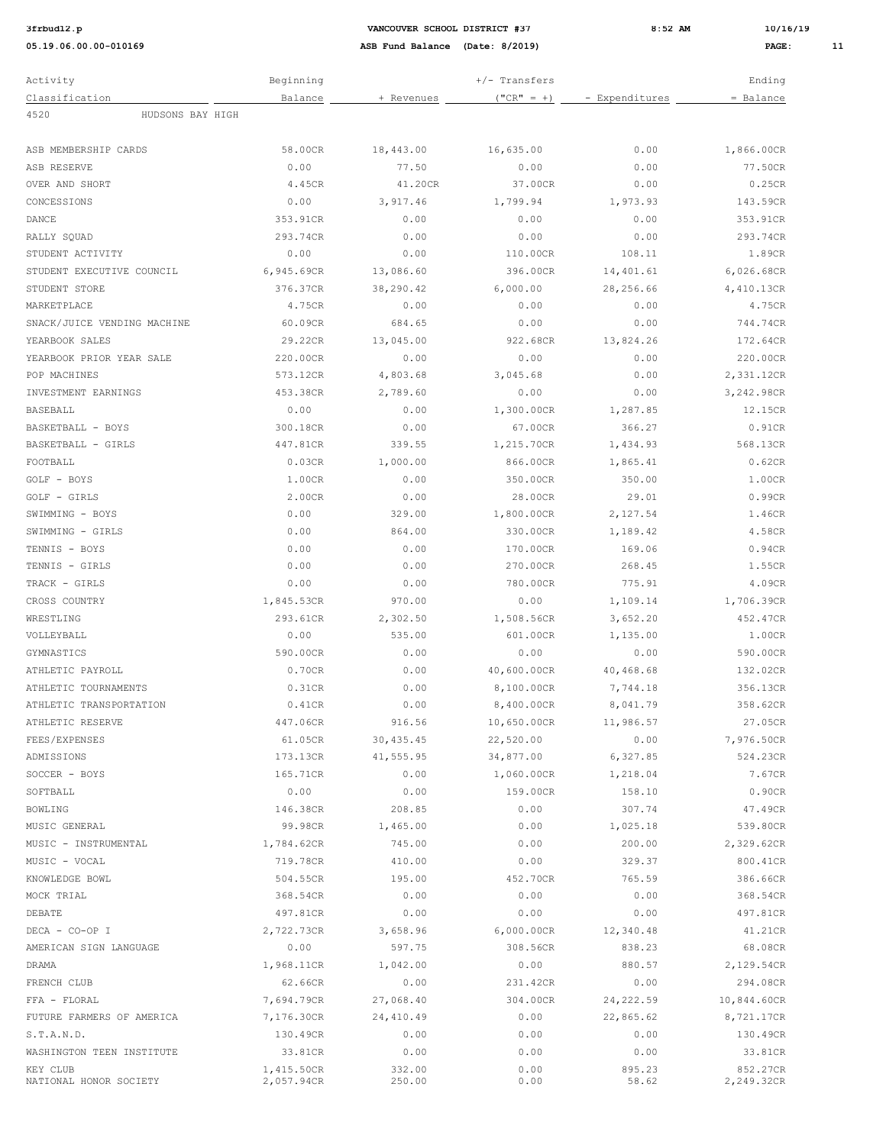**3:52 AM 10/16/19 12.02.19 12.02.19 8:52 AM 10/16/19** 

| Activity                           | Beginning                |                  | +/- Transfers |                 | Ending                 |
|------------------------------------|--------------------------|------------------|---------------|-----------------|------------------------|
| Classification                     | Balance                  | + Revenues       | $("CR" = +)$  | - Expenditures  | = Balance              |
| HUDSONS BAY HIGH<br>4520           |                          |                  |               |                 |                        |
|                                    |                          |                  |               |                 |                        |
| ASB MEMBERSHIP CARDS               | 58.00CR                  | 18,443.00        | 16,635.00     | 0.00            | 1,866.00CR             |
| ASB RESERVE                        | 0.00                     | 77.50            | 0.00          | 0.00            | 77.50CR                |
| <b>OVER AND SHORT</b>              | 4.45CR                   | 41.20CR          | 37.00CR       | 0.00            | 0.25CR                 |
| CONCESSIONS                        | 0.00                     | 3,917.46         | 1,799.94      | 1,973.93        | 143.59CR               |
| DANCE                              | 353.91CR                 | 0.00             | 0.00          | 0.00            | 353.91CR               |
| RALLY SOUAD                        | 293.74CR                 | 0.00             | 0.00          | 0.00            | 293.74CR               |
| STUDENT ACTIVITY                   | 0.00                     | 0.00             | 110.00CR      | 108.11          | 1.89CR                 |
| STUDENT EXECUTIVE COUNCIL          | 6,945.69CR               | 13,086.60        | 396.00CR      | 14,401.61       | 6,026.68CR             |
| STUDENT STORE                      | 376.37CR                 | 38,290.42        | 6,000.00      | 28,256.66       | 4,410.13CR             |
| MARKETPLACE                        | 4.75CR                   | 0.00             | 0.00          | 0.00            | 4.75CR                 |
| SNACK/JUICE VENDING MACHINE        | 60.09CR                  | 684.65           | 0.00          | 0.00            | 744.74CR               |
| YEARBOOK SALES                     | 29.22CR                  | 13,045.00        | 922.68CR      | 13,824.26       | 172.64CR               |
| YEARBOOK PRIOR YEAR SALE           | 220.00CR                 | 0.00             | 0.00          | 0.00            | 220.00CR               |
| POP MACHINES                       | 573.12CR                 | 4,803.68         | 3,045.68      | 0.00            | 2,331.12CR             |
| INVESTMENT EARNINGS                | 453.38CR                 | 2,789.60         | 0.00          | 0.00            | 3,242.98CR             |
| <b>BASEBALL</b>                    | 0.00                     | 0.00             | 1,300.00CR    | 1,287.85        | 12.15CR                |
| BASKETBALL - BOYS                  | 300.18CR                 | 0.00             | 67.00CR       | 366.27          | 0.91CR                 |
| BASKETBALL - GIRLS                 | 447.81CR                 | 339.55           | 1,215.70CR    | 1,434.93        | 568.13CR               |
| FOOTBALL                           | 0.03CR                   | 1,000.00         | 866.00CR      | 1,865.41        | 0.62CR                 |
| GOLF - BOYS                        | 1.00CR                   | 0.00             | 350.00CR      | 350.00          | 1.00CR                 |
| GOLF - GIRLS                       | 2.00CR                   | 0.00             | 28.00CR       | 29.01           | 0.99CR                 |
| SWIMMING - BOYS                    | 0.00                     | 329.00           | 1,800.00CR    | 2,127.54        | 1.46CR                 |
| SWIMMING - GIRLS                   | 0.00                     | 864.00           | 330.00CR      | 1,189.42        | 4.58CR                 |
| TENNIS - BOYS                      | 0.00                     | 0.00             | 170.00CR      | 169.06          | 0.94CR                 |
| TENNIS - GIRLS                     | 0.00                     | 0.00             | 270.00CR      | 268.45          | 1.55CR                 |
| TRACK - GIRLS                      | 0.00                     | 0.00             | 780.00CR      | 775.91          | 4.09CR                 |
| CROSS COUNTRY                      | 1,845.53CR               | 970.00           | 0.00          | 1,109.14        | 1,706.39CR             |
| WRESTLING                          | 293.61CR                 | 2,302.50         | 1,508.56CR    | 3,652.20        | 452.47CR               |
| VOLLEYBALL                         | 0.00                     | 535.00           | 601.00CR      | 1,135.00        | 1.00CR                 |
| GYMNASTICS                         | 590.00CR                 | 0.00             | 0.00          | 0.00            | 590.00CR               |
| ATHLETIC PAYROLL                   | 0.70CR                   | 0.00             | 40,600.00CR   | 40,468.68       | 132.02CR               |
| ATHLETIC TOURNAMENTS               | 0.31CR                   | 0.00             | 8,100.00CR    | 7,744.18        | 356.13CR               |
| ATHLETIC TRANSPORTATION            | 0.41CR                   | 0.00             | 8,400.00CR    | 8,041.79        | 358.62CR               |
| ATHLETIC RESERVE                   | 447.06CR                 | 916.56           | 10,650.00CR   | 11,986.57       | 27.05CR                |
| FEES/EXPENSES                      | 61.05CR                  | 30, 435.45       | 22,520.00     | 0.00            | 7,976.50CR             |
| ADMISSIONS                         | 173.13CR                 | 41,555.95        | 34,877.00     | 6,327.85        | 524.23CR               |
| SOCCER - BOYS                      | 165.71CR                 | 0.00             | 1,060.00CR    | 1,218.04        | 7.67CR                 |
| SOFTBALL                           | 0.00                     | 0.00             | 159.00CR      | 158.10          | 0.90CR                 |
| <b>BOWLING</b>                     | 146.38CR                 | 208.85           | 0.00          | 307.74          | 47.49CR                |
| MUSIC GENERAL                      | 99.98CR                  | 1,465.00         | 0.00          | 1,025.18        | 539.80CR               |
| MUSIC - INSTRUMENTAL               | 1,784.62CR               | 745.00           | 0.00          | 200.00          | 2,329.62CR             |
| MUSIC - VOCAL                      | 719.78CR                 | 410.00           | 0.00          | 329.37          | 800.41CR               |
| KNOWLEDGE BOWL                     | 504.55CR                 | 195.00           | 452.70CR      | 765.59          | 386.66CR               |
| MOCK TRIAL                         | 368.54CR                 | 0.00             | 0.00          | 0.00            | 368.54CR               |
| DEBATE                             | 497.81CR                 | 0.00             | 0.00          | 0.00            | 497.81CR               |
| DECA - CO-OP I                     | 2,722.73CR               | 3,658.96         | 6,000.00CR    | 12,340.48       | 41.21CR                |
| AMERICAN SIGN LANGUAGE             | 0.00                     | 597.75           | 308.56CR      | 838.23          | 68.08CR                |
| DRAMA                              | 1,968.11CR               | 1,042.00         | 0.00          | 880.57          | 2,129.54CR             |
| FRENCH CLUB                        | 62.66CR                  | 0.00             | 231.42CR      | 0.00            | 294.08CR               |
| FFA - FLORAL                       | 7,694.79CR               | 27,068.40        | 304.00CR      | 24, 222.59      | 10,844.60CR            |
| FUTURE FARMERS OF AMERICA          | 7,176.30CR               | 24,410.49        | 0.00          | 22,865.62       | 8,721.17CR             |
| S.T.A.N.D.                         | 130.49CR                 | 0.00             | 0.00          | 0.00            | 130.49CR               |
| WASHINGTON TEEN INSTITUTE          | 33.81CR                  | 0.00             | 0.00          | 0.00            | 33.81CR                |
| KEY CLUB<br>NATIONAL HONOR SOCIETY | 1,415.50CR<br>2,057.94CR | 332.00<br>250.00 | 0.00<br>0.00  | 895.23<br>58.62 | 852.27CR<br>2,249.32CR |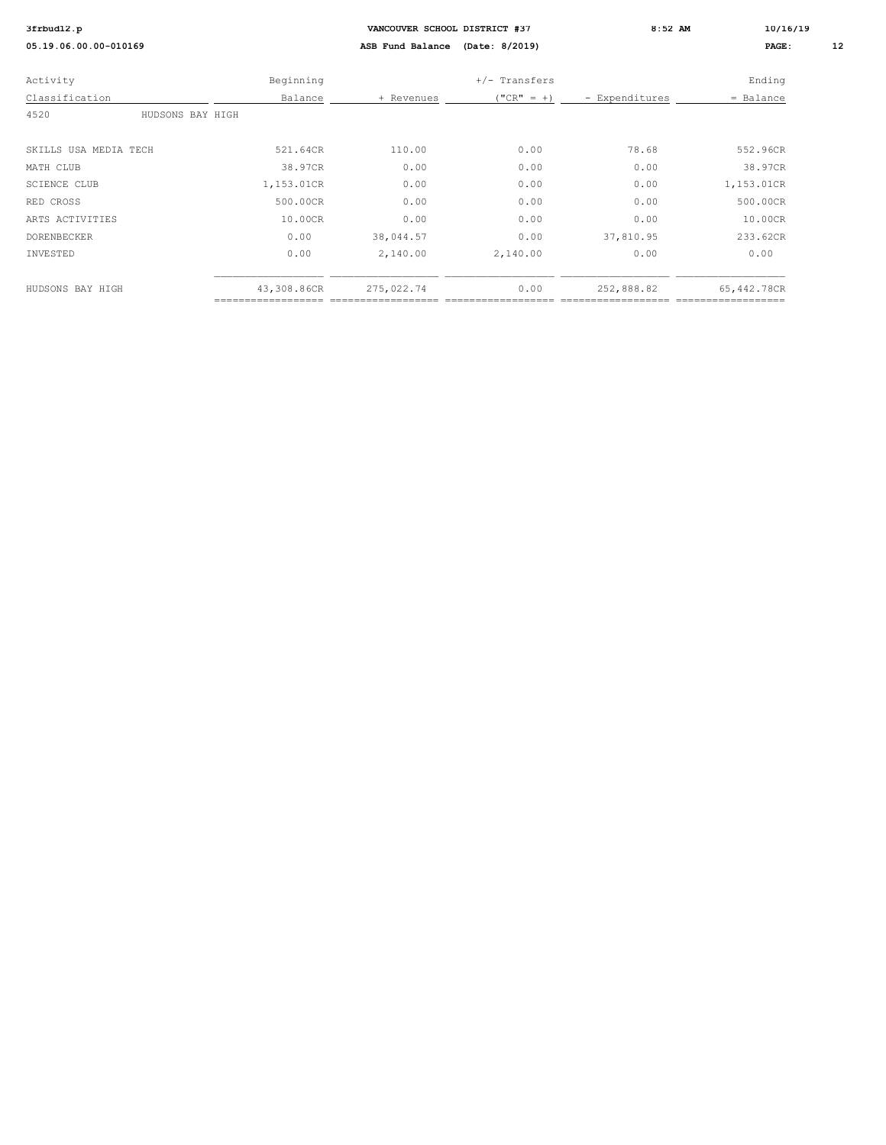|                  | VANCOUVER SCHOOL DISTRICT #37 |               |                |             | 10/16/19 |  |
|------------------|-------------------------------|---------------|----------------|-------------|----------|--|
|                  | ASB Fund Balance              |               |                | PAGE:       | 12       |  |
| Beginning        |                               | +/- Transfers |                | Ending      |          |  |
| Balance          | + Revenues                    | $("CR" = +)$  | - Expenditures | = Balance   |          |  |
| HUDSONS BAY HIGH |                               |               |                |             |          |  |
| 521.64CR         | 110.00                        | 0.00          | 78.68          | 552.96CR    |          |  |
| 38.97CR          | 0.00                          | 0.00          | 0.00           | 38.97CR     |          |  |
| 1,153.01CR       | 0.00                          | 0.00          | 0.00           | 1,153.01CR  |          |  |
| 500.00CR         | 0.00                          | 0.00          | 0.00           | 500.00CR    |          |  |
| 10.00CR          | 0.00                          | 0.00          | 0.00           | 10.00CR     |          |  |
| 0.00             | 38,044.57                     | 0.00          | 37,810.95      | 233.62CR    |          |  |
| 0.00             | 2,140.00                      | 2,140.00      | 0.00           | 0.00        |          |  |
| 43,308.86CR      | 275,022.74                    | 0.00          | 252,888.82     | 65,442.78CR |          |  |
|                  |                               |               | (Date: 8/2019) | $8:52$ AM   |          |  |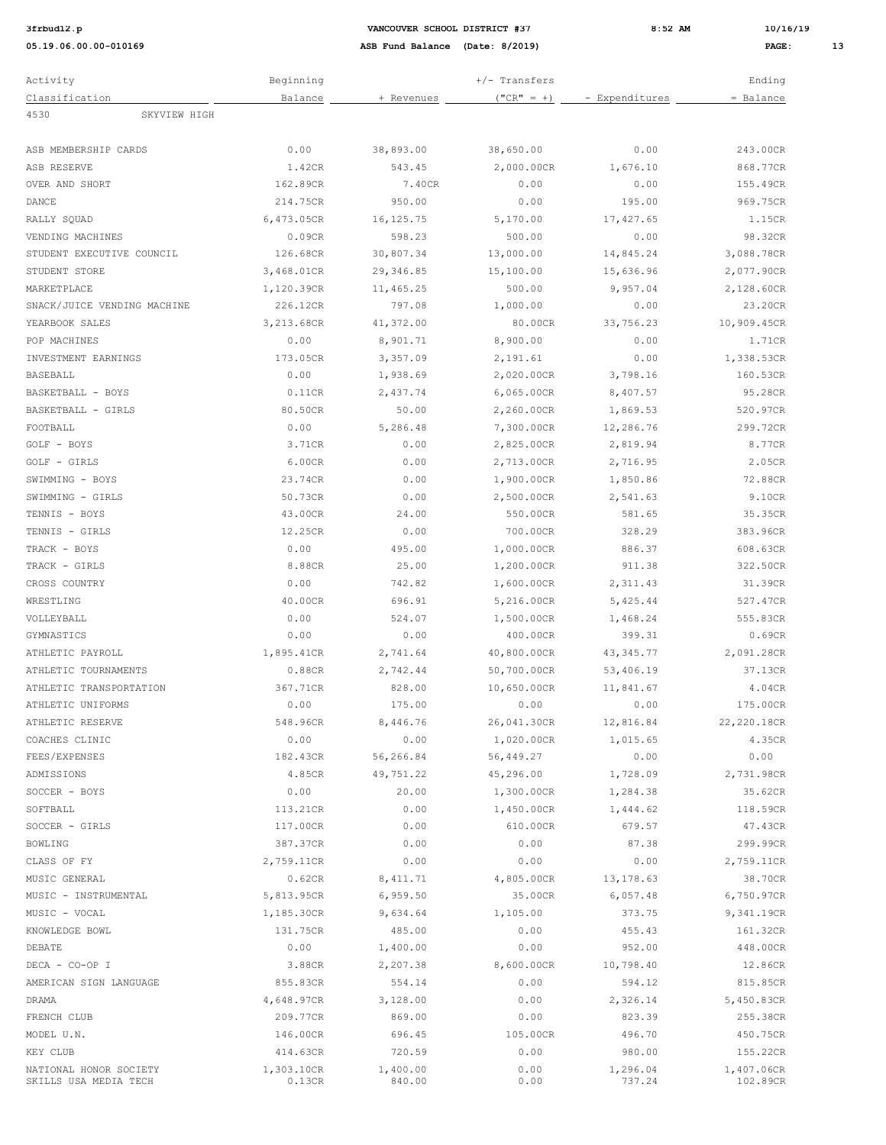| 3frbud12. |  |
|-----------|--|
|           |  |

**3:52 AM 10/16/19 12.02.19 12.02.19 8:52 AM 10/16/19 05.19.06.00.00-010169 ASB Fund Balance (Date: 8/2019) PAGE: 13**

| Activity                                        | Beginning            |                    | +/- Transfers |                    | Ending                 |
|-------------------------------------------------|----------------------|--------------------|---------------|--------------------|------------------------|
| Classification                                  | Balance              | + Revenues         | $("CR" = +)$  | - Expenditures     | = Balance              |
| 4530<br>SKYVIEW HIGH                            |                      |                    |               |                    |                        |
|                                                 |                      |                    |               |                    |                        |
| ASB MEMBERSHIP CARDS                            | 0.00                 | 38,893.00          | 38,650.00     | 0.00               | 243.00CR               |
| ASB RESERVE                                     | 1.42CR               | 543.45             | 2,000.00CR    | 1,676.10           | 868.77CR               |
| OVER AND SHORT                                  | 162.89CR             | 7.40CR             | 0.00          | 0.00               | 155.49CR               |
| DANCE                                           | 214.75CR             | 950.00             | 0.00          | 195.00             | 969.75CR               |
| RALLY SQUAD                                     | 6,473.05CR           | 16, 125.75         | 5,170.00      | 17, 427.65         | 1.15CR                 |
| VENDING MACHINES                                | 0.09CR               | 598.23             | 500.00        | 0.00               | 98.32CR                |
| STUDENT EXECUTIVE COUNCIL                       | 126.68CR             | 30,807.34          | 13,000.00     | 14,845.24          | 3,088.78CR             |
| STUDENT STORE                                   | 3,468.01CR           | 29,346.85          | 15,100.00     | 15,636.96          | 2,077.90CR             |
| MARKETPLACE                                     | 1,120.39CR           | 11,465.25          | 500.00        | 9,957.04           | 2,128.60CR             |
| SNACK/JUICE VENDING MACHINE                     | 226.12CR             | 797.08             | 1,000.00      | 0.00               | 23.20CR                |
| YEARBOOK SALES                                  | 3,213.68CR           | 41,372.00          | 80.00CR       | 33,756.23          | 10,909.45CR            |
| POP MACHINES                                    | 0.00                 | 8,901.71           | 8,900.00      | 0.00               | 1.71CR                 |
| INVESTMENT EARNINGS                             | 173.05CR             | 3,357.09           | 2,191.61      | 0.00               | 1,338.53CR             |
|                                                 |                      |                    |               | 3,798.16           |                        |
| BASEBALL                                        | 0.00                 | 1,938.69           | 2,020.00CR    |                    | 160.53CR               |
| BASKETBALL - BOYS                               | 0.11CR               | 2,437.74           | 6,065.00CR    | 8,407.57           | 95.28CR                |
| BASKETBALL - GIRLS                              | 80.50CR              | 50.00              | 2,260.00CR    | 1,869.53           | 520.97CR               |
| FOOTBALL                                        | 0.00                 | 5,286.48           | 7,300.00CR    | 12,286.76          | 299.72CR               |
| GOLF - BOYS                                     | 3.71CR               | 0.00               | 2,825.00CR    | 2,819.94           | 8.77CR                 |
| GOLF - GIRLS                                    | 6.00CR               | 0.00               | 2,713.00CR    | 2,716.95           | 2.05CR                 |
| SWIMMING - BOYS                                 | 23.74CR              | 0.00               | 1,900.00CR    | 1,850.86           | 72.88CR                |
| SWIMMING - GIRLS                                | 50.73CR              | 0.00               | 2,500.00CR    | 2,541.63           | 9.10CR                 |
| TENNIS - BOYS                                   | 43.00CR              | 24.00              | 550.00CR      | 581.65             | 35.35CR                |
| TENNIS - GIRLS                                  | 12.25CR              | 0.00               | 700.00CR      | 328.29             | 383.96CR               |
| TRACK - BOYS                                    | 0.00                 | 495.00             | 1,000.00CR    | 886.37             | 608.63CR               |
| TRACK - GIRLS                                   | 8.88CR               | 25.00              | 1,200.00CR    | 911.38             | 322.50CR               |
| CROSS COUNTRY                                   | 0.00                 | 742.82             | 1,600.00CR    | 2,311.43           | 31.39CR                |
| WRESTLING                                       | 40.00CR              | 696.91             | 5,216.00CR    | 5,425.44           | 527.47CR               |
| VOLLEYBALL                                      | 0.00                 | 524.07             | 1,500.00CR    | 1,468.24           | 555.83CR               |
| GYMNASTICS                                      | 0.00                 | 0.00               | 400.00CR      | 399.31             | 0.69CR                 |
| ATHLETIC PAYROLL                                | 1,895.41CR           | 2,741.64           | 40,800.00CR   | 43, 345.77         | 2,091.28CR             |
| ATHLETIC TOURNAMENTS                            | 0.88CR               | 2,742.44           | 50,700.00CR   | 53,406.19          | 37.13CR                |
| ATHLETIC TRANSPORTATION                         | 367.71CR             | 828.00             | 10,650.00CR   | 11,841.67          | 4.04CR                 |
| ATHLETIC UNIFORMS                               | 0.00                 | 175.00             | 0.00          | 0.00               | 175.00CR               |
| ATHLETIC RESERVE                                | 548.96CR             | 8,446.76           | 26,041.30CR   | 12,816.84          | 22,220.18CR            |
| COACHES CLINIC                                  | 0.00                 | 0.00               | 1,020.00CR    | 1,015.65           | 4.35CR                 |
| FEES/EXPENSES                                   | 182.43CR             | 56,266.84          | 56,449.27     | 0.00               | 0.00                   |
| ADMISSIONS                                      | 4.85CR               | 49,751.22          | 45,296.00     | 1,728.09           | 2,731.98CR             |
| SOCCER - BOYS                                   | 0.00                 | 20.00              | 1,300.00CR    | 1,284.38           | 35.62CR                |
| SOFTBALL                                        | 113.21CR             | 0.00               | 1,450.00CR    | 1,444.62           | 118.59CR               |
| SOCCER - GIRLS                                  | 117.00CR             | 0.00               | 610.00CR      | 679.57             | 47.43CR                |
| <b>BOWLING</b>                                  | 387.37CR             | 0.00               | 0.00          | 87.38              | 299.99CR               |
| CLASS OF FY                                     | 2,759.11CR           | 0.00               | 0.00          | 0.00               | 2,759.11CR             |
|                                                 |                      | 8, 411.71          |               |                    |                        |
| MUSIC GENERAL                                   | 0.62CR               |                    | 4,805.00CR    | 13, 178.63         | 38.70CR                |
| MUSIC - INSTRUMENTAL                            | 5,813.95CR           | 6,959.50           | 35.00CR       | 6,057.48           | 6,750.97CR             |
| MUSIC - VOCAL                                   | 1,185.30CR           | 9,634.64           | 1,105.00      | 373.75             | 9,341.19CR             |
| KNOWLEDGE BOWL                                  | 131.75CR             | 485.00             | 0.00          | 455.43             | 161.32CR               |
| DEBATE                                          | 0.00                 | 1,400.00           | 0.00          | 952.00             | 448.00CR               |
| $DECA - CO-OP I$                                | 3.88CR               | 2,207.38           | 8,600.00CR    | 10,798.40          | 12.86CR                |
| AMERICAN SIGN LANGUAGE                          | 855.83CR             | 554.14             | 0.00          | 594.12             | 815.85CR               |
| DRAMA                                           | 4,648.97CR           | 3,128.00           | 0.00          | 2,326.14           | 5,450.83CR             |
| FRENCH CLUB                                     | 209.77CR             | 869.00             | 0.00          | 823.39             | 255.38CR               |
| MODEL U.N.                                      | 146.00CR             | 696.45             | 105.00CR      | 496.70             | 450.75CR               |
| KEY CLUB                                        | 414.63CR             | 720.59             | 0.00          | 980.00             | 155.22CR               |
| NATIONAL HONOR SOCIETY<br>SKILLS USA MEDIA TECH | 1,303.10CR<br>0.13CR | 1,400.00<br>840.00 | 0.00<br>0.00  | 1,296.04<br>737.24 | 1,407.06CR<br>102.89CR |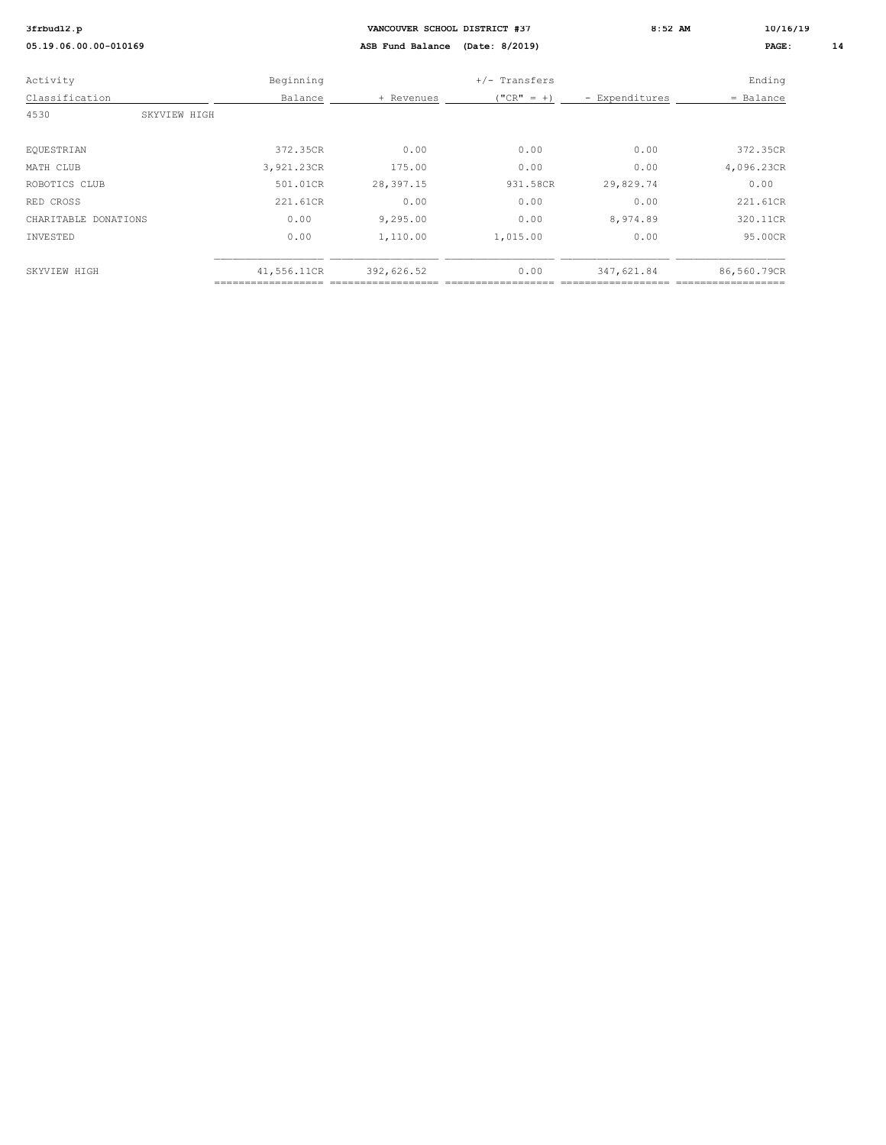| 3frbud12.p            |             | VANCOUVER SCHOOL DISTRICT #37 |                |                | $8:52$ AM   | 10/16/19 |  |
|-----------------------|-------------|-------------------------------|----------------|----------------|-------------|----------|--|
| 05.19.06.00.00-010169 |             | ASB Fund Balance              | (Date: 8/2019) |                | PAGE:       | 14       |  |
| Activity              | Beginning   |                               | +/- Transfers  |                | Ending      |          |  |
| Classification        | Balance     | + Revenues                    | $("CR" = +)$   | - Expenditures | = Balance   |          |  |
| 4530<br>SKYVIEW HIGH  |             |                               |                |                |             |          |  |
|                       |             |                               |                |                |             |          |  |
| EQUESTRIAN            | 372.35CR    | 0.00                          | 0.00           | 0.00           | 372.35CR    |          |  |
| MATH CLUB             | 3,921.23CR  | 175.00                        | 0.00           | 0.00           | 4,096.23CR  |          |  |
| ROBOTICS CLUB         | 501.01CR    | 28,397.15                     | 931.58CR       | 29,829.74      | 0.00        |          |  |
| RED CROSS             | 221.61CR    | 0.00                          | 0.00           | 0.00           | 221.61CR    |          |  |
| CHARITABLE DONATIONS  | 0.00        | 9,295.00                      | 0.00           | 8,974.89       | 320.11CR    |          |  |
| INVESTED              | 0.00        | 1,110.00                      | 1,015.00       | 0.00           | 95.00CR     |          |  |
|                       |             |                               |                |                |             |          |  |
| SKYVIEW HIGH          | 41,556.11CR | 392,626.52                    | 0.00           | 347,621.84     | 86,560.79CR |          |  |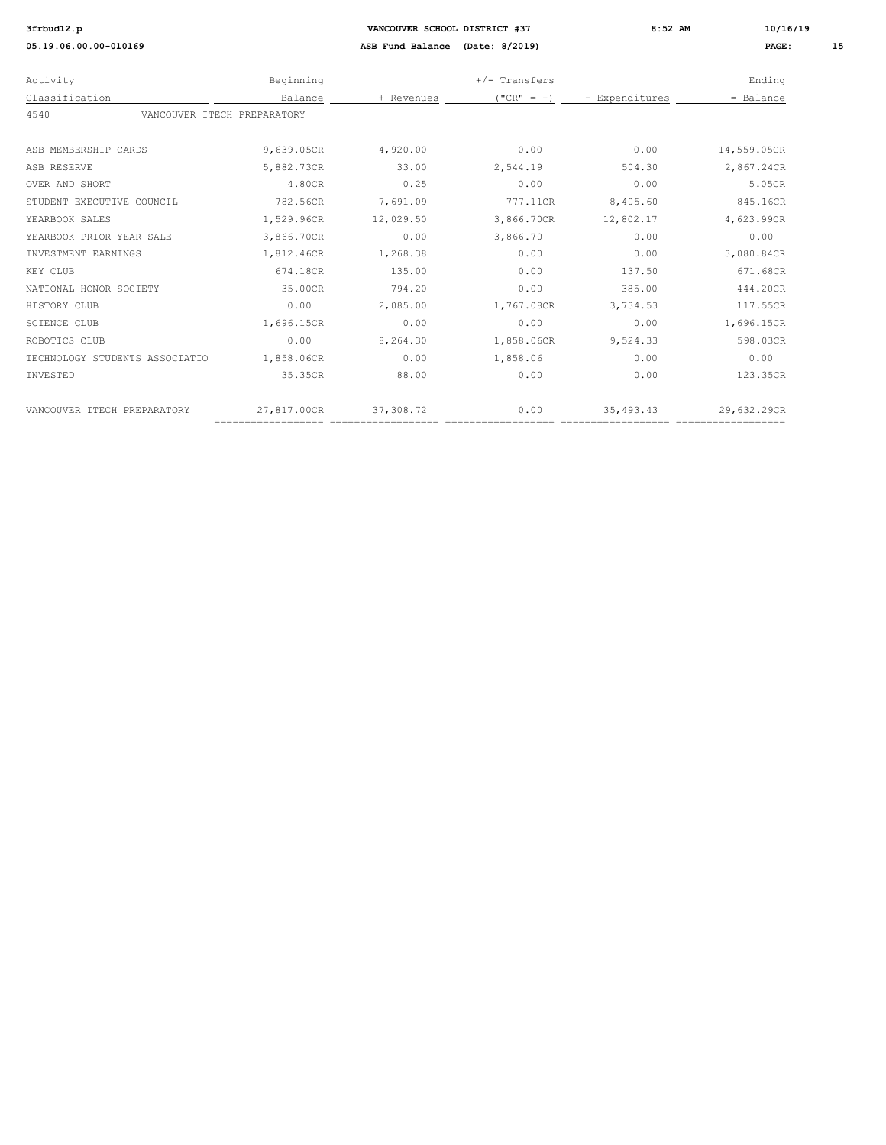| Activity                            | Beginning   |            | $+/-$ Transfers |                | Ending      |
|-------------------------------------|-------------|------------|-----------------|----------------|-------------|
| Classification                      | Balance     | + Revenues | $("CR" = +)$    | - Expenditures | $=$ Balance |
| 4540<br>VANCOUVER ITECH PREPARATORY |             |            |                 |                |             |
| ASB MEMBERSHIP CARDS                | 9,639.05CR  | 4,920.00   | 0.00            | 0.00           | 14,559.05CR |
| ASB RESERVE                         | 5,882.73CR  | 33.00      | 2,544.19        | 504.30         | 2,867.24CR  |
| <b>OVER AND SHORT</b>               | 4.80CR      | 0.25       | 0.00            | 0.00           | 5.05CR      |
| STUDENT EXECUTIVE COUNCIL           | 782.56CR    | 7,691.09   | 777.11CR        | 8,405.60       | 845.16CR    |
| YEARBOOK SALES                      | 1,529.96CR  | 12,029.50  | 3,866.70CR      | 12,802.17      | 4,623.99CR  |
| YEARBOOK PRIOR YEAR SALE            | 3,866.70CR  | 0.00       | 3,866.70        | 0.00           | 0.00        |
| INVESTMENT EARNINGS                 | 1,812.46CR  | 1,268.38   | 0.00            | 0.00           | 3,080.84CR  |
| KEY CLUB                            | 674.18CR    | 135.00     | 0.00            | 137.50         | 671.68CR    |
| NATIONAL HONOR SOCIETY              | 35.00CR     | 794.20     | 0.00            | 385.00         | 444.20CR    |
| HISTORY CLUB                        | 0.00        | 2,085.00   | 1,767.08CR      | 3,734.53       | 117.55CR    |
| <b>SCIENCE CLUB</b>                 | 1,696.15CR  | 0.00       | 0.00            | 0.00           | 1,696.15CR  |
| ROBOTICS CLUB                       | 0.00        | 8,264.30   | 1,858.06CR      | 9,524.33       | 598.03CR    |
| TECHNOLOGY STUDENTS ASSOCIATIO      | 1,858.06CR  | 0.00       | 1,858.06        | 0.00           | 0.00        |
| INVESTED                            | 35.35CR     | 88.00      | 0.00            | 0.00           | 123.35CR    |
| VANCOUVER ITECH PREPARATORY         | 27,817.00CR | 37,308.72  | 0.00            | 35, 493. 43    | 29,632.29CR |